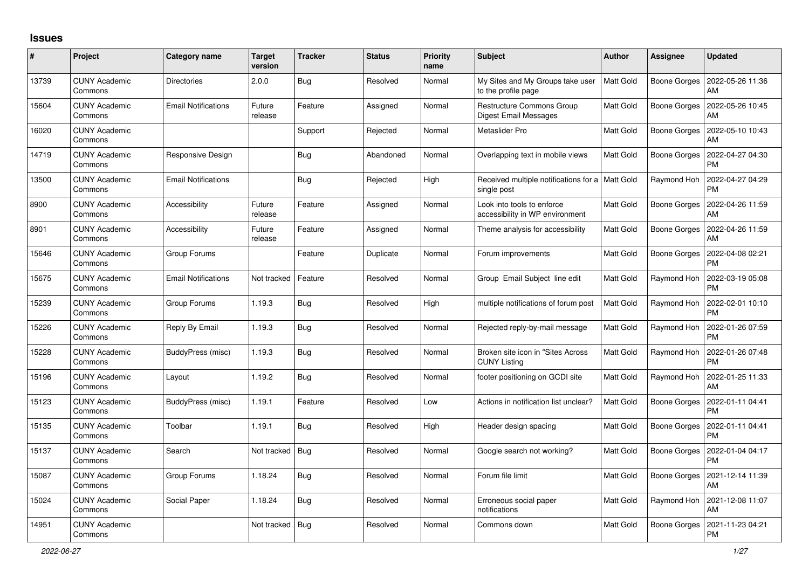## **Issues**

| $\#$  | Project                         | Category name              | <b>Target</b><br>version | <b>Tracker</b> | <b>Status</b> | <b>Priority</b><br>name | <b>Subject</b>                                                   | <b>Author</b>    | Assignee            | <b>Updated</b>                |
|-------|---------------------------------|----------------------------|--------------------------|----------------|---------------|-------------------------|------------------------------------------------------------------|------------------|---------------------|-------------------------------|
| 13739 | <b>CUNY Academic</b><br>Commons | <b>Directories</b>         | 2.0.0                    | Bug            | Resolved      | Normal                  | My Sites and My Groups take user<br>to the profile page          | <b>Matt Gold</b> | <b>Boone Gorges</b> | 2022-05-26 11:36<br>AM        |
| 15604 | <b>CUNY Academic</b><br>Commons | <b>Email Notifications</b> | Future<br>release        | Feature        | Assigned      | Normal                  | <b>Restructure Commons Group</b><br>Digest Email Messages        | Matt Gold        | Boone Gorges        | 2022-05-26 10:45<br>AM        |
| 16020 | <b>CUNY Academic</b><br>Commons |                            |                          | Support        | Rejected      | Normal                  | Metaslider Pro                                                   | Matt Gold        | <b>Boone Gorges</b> | 2022-05-10 10:43<br>AM        |
| 14719 | <b>CUNY Academic</b><br>Commons | Responsive Design          |                          | Bug            | Abandoned     | Normal                  | Overlapping text in mobile views                                 | Matt Gold        | Boone Gorges        | 2022-04-27 04:30<br><b>PM</b> |
| 13500 | <b>CUNY Academic</b><br>Commons | <b>Email Notifications</b> |                          | Bug            | Rejected      | High                    | Received multiple notifications for a   Matt Gold<br>single post |                  | Raymond Hoh         | 2022-04-27 04:29<br><b>PM</b> |
| 8900  | <b>CUNY Academic</b><br>Commons | Accessibility              | Future<br>release        | Feature        | Assigned      | Normal                  | Look into tools to enforce<br>accessibility in WP environment    | Matt Gold        | Boone Gorges        | 2022-04-26 11:59<br>AM        |
| 8901  | <b>CUNY Academic</b><br>Commons | Accessibility              | Future<br>release        | Feature        | Assigned      | Normal                  | Theme analysis for accessibility                                 | Matt Gold        | <b>Boone Gorges</b> | 2022-04-26 11:59<br>AM        |
| 15646 | <b>CUNY Academic</b><br>Commons | Group Forums               |                          | Feature        | Duplicate     | Normal                  | Forum improvements                                               | Matt Gold        | Boone Gorges        | 2022-04-08 02:21<br><b>PM</b> |
| 15675 | <b>CUNY Academic</b><br>Commons | <b>Email Notifications</b> | Not tracked              | Feature        | Resolved      | Normal                  | Group Email Subject line edit                                    | Matt Gold        | Raymond Hoh         | 2022-03-19 05:08<br><b>PM</b> |
| 15239 | <b>CUNY Academic</b><br>Commons | Group Forums               | 1.19.3                   | Bug            | Resolved      | High                    | multiple notifications of forum post                             | Matt Gold        | Raymond Hoh         | 2022-02-01 10:10<br><b>PM</b> |
| 15226 | <b>CUNY Academic</b><br>Commons | Reply By Email             | 1.19.3                   | Bug            | Resolved      | Normal                  | Rejected reply-by-mail message                                   | Matt Gold        | Raymond Hoh         | 2022-01-26 07:59<br><b>PM</b> |
| 15228 | CUNY Academic<br>Commons        | BuddyPress (misc)          | 1.19.3                   | Bug            | Resolved      | Normal                  | Broken site icon in "Sites Across<br><b>CUNY Listing</b>         | Matt Gold        | Raymond Hoh         | 2022-01-26 07:48<br><b>PM</b> |
| 15196 | <b>CUNY Academic</b><br>Commons | Layout                     | 1.19.2                   | Bug            | Resolved      | Normal                  | footer positioning on GCDI site                                  | Matt Gold        | Raymond Hoh         | 2022-01-25 11:33<br>AM        |
| 15123 | <b>CUNY Academic</b><br>Commons | BuddyPress (misc)          | 1.19.1                   | Feature        | Resolved      | Low                     | Actions in notification list unclear?                            | Matt Gold        | Boone Gorges        | 2022-01-11 04:41<br><b>PM</b> |
| 15135 | <b>CUNY Academic</b><br>Commons | Toolbar                    | 1.19.1                   | Bug            | Resolved      | High                    | Header design spacing                                            | Matt Gold        | <b>Boone Gorges</b> | 2022-01-11 04:41<br><b>PM</b> |
| 15137 | <b>CUNY Academic</b><br>Commons | Search                     | Not tracked              | Bug            | Resolved      | Normal                  | Google search not working?                                       | Matt Gold        | Boone Gorges        | 2022-01-04 04:17<br><b>PM</b> |
| 15087 | <b>CUNY Academic</b><br>Commons | Group Forums               | 1.18.24                  | Bug            | Resolved      | Normal                  | Forum file limit                                                 | Matt Gold        | Boone Gorges        | 2021-12-14 11:39<br>AM        |
| 15024 | <b>CUNY Academic</b><br>Commons | Social Paper               | 1.18.24                  | Bug            | Resolved      | Normal                  | Erroneous social paper<br>notifications                          | Matt Gold        | Raymond Hoh         | 2021-12-08 11:07<br>AM        |
| 14951 | <b>CUNY Academic</b><br>Commons |                            | Not tracked              | Bug            | Resolved      | Normal                  | Commons down                                                     | Matt Gold        | <b>Boone Gorges</b> | 2021-11-23 04:21<br><b>PM</b> |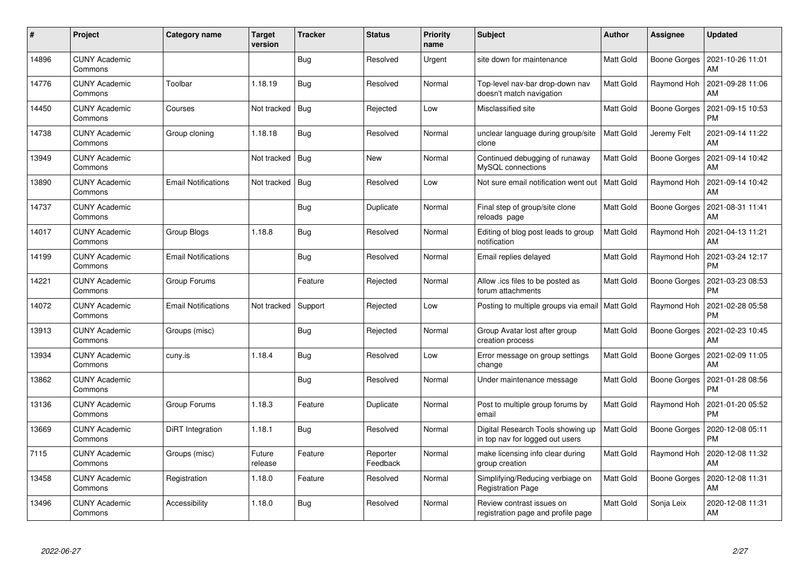| #     | Project                         | Category name              | <b>Target</b><br>version | <b>Tracker</b> | <b>Status</b>        | <b>Priority</b><br>name | <b>Subject</b>                                                       | <b>Author</b> | Assignee            | <b>Updated</b>                |
|-------|---------------------------------|----------------------------|--------------------------|----------------|----------------------|-------------------------|----------------------------------------------------------------------|---------------|---------------------|-------------------------------|
| 14896 | <b>CUNY Academic</b><br>Commons |                            |                          | Bug            | Resolved             | Urgent                  | site down for maintenance                                            | Matt Gold     | Boone Gorges        | 2021-10-26 11:01<br>AM        |
| 14776 | <b>CUNY Academic</b><br>Commons | Toolbar                    | 1.18.19                  | Bug            | Resolved             | Normal                  | Top-level nav-bar drop-down nav<br>doesn't match navigation          | Matt Gold     | Raymond Hoh         | 2021-09-28 11:06<br>AM        |
| 14450 | <b>CUNY Academic</b><br>Commons | Courses                    | Not tracked              | <b>Bug</b>     | Rejected             | Low                     | Misclassified site                                                   | Matt Gold     | Boone Gorges        | 2021-09-15 10:53<br><b>PM</b> |
| 14738 | <b>CUNY Academic</b><br>Commons | Group cloning              | 1.18.18                  | Bug            | Resolved             | Normal                  | unclear language during group/site<br>clone                          | Matt Gold     | Jeremy Felt         | 2021-09-14 11:22<br>AM        |
| 13949 | <b>CUNY Academic</b><br>Commons |                            | Not tracked   Bug        |                | <b>New</b>           | Normal                  | Continued debugging of runaway<br>MySQL connections                  | Matt Gold     | Boone Gorges        | 2021-09-14 10:42<br>AM        |
| 13890 | <b>CUNY Academic</b><br>Commons | <b>Email Notifications</b> | Not tracked              | Bug            | Resolved             | Low                     | Not sure email notification went out                                 | Matt Gold     | Raymond Hoh         | 2021-09-14 10:42<br>AM        |
| 14737 | <b>CUNY Academic</b><br>Commons |                            |                          | Bug            | Duplicate            | Normal                  | Final step of group/site clone<br>reloads page                       | Matt Gold     | <b>Boone Gorges</b> | 2021-08-31 11:41<br>AM        |
| 14017 | <b>CUNY Academic</b><br>Commons | Group Blogs                | 1.18.8                   | <b>Bug</b>     | Resolved             | Normal                  | Editing of blog post leads to group<br>notification                  | Matt Gold     | Raymond Hoh         | 2021-04-13 11:21<br>AM        |
| 14199 | <b>CUNY Academic</b><br>Commons | <b>Email Notifications</b> |                          | Bug            | Resolved             | Normal                  | Email replies delayed                                                | Matt Gold     | Raymond Hoh         | 2021-03-24 12:17<br><b>PM</b> |
| 14221 | <b>CUNY Academic</b><br>Commons | Group Forums               |                          | Feature        | Rejected             | Normal                  | Allow .ics files to be posted as<br>forum attachments                | Matt Gold     | <b>Boone Gorges</b> | 2021-03-23 08:53<br><b>PM</b> |
| 14072 | <b>CUNY Academic</b><br>Commons | <b>Email Notifications</b> | Not tracked              | Support        | Rejected             | Low                     | Posting to multiple groups via email   Matt Gold                     |               | Raymond Hoh         | 2021-02-28 05:58<br><b>PM</b> |
| 13913 | <b>CUNY Academic</b><br>Commons | Groups (misc)              |                          | <b>Bug</b>     | Rejected             | Normal                  | Group Avatar lost after group<br>creation process                    | Matt Gold     | Boone Gorges        | 2021-02-23 10:45<br>AM        |
| 13934 | <b>CUNY Academic</b><br>Commons | cuny.is                    | 1.18.4                   | <b>Bug</b>     | Resolved             | Low                     | Error message on group settings<br>change                            | Matt Gold     | Boone Gorges        | 2021-02-09 11:05<br>AM        |
| 13862 | <b>CUNY Academic</b><br>Commons |                            |                          | <b>Bug</b>     | Resolved             | Normal                  | Under maintenance message                                            | Matt Gold     | Boone Gorges        | 2021-01-28 08:56<br>PM        |
| 13136 | <b>CUNY Academic</b><br>Commons | Group Forums               | 1.18.3                   | Feature        | Duplicate            | Normal                  | Post to multiple group forums by<br>email                            | Matt Gold     | Raymond Hoh         | 2021-01-20 05:52<br><b>PM</b> |
| 13669 | <b>CUNY Academic</b><br>Commons | DiRT Integration           | 1.18.1                   | <b>Bug</b>     | Resolved             | Normal                  | Digital Research Tools showing up<br>in top nav for logged out users | Matt Gold     | Boone Gorges        | 2020-12-08 05:11<br>PM        |
| 7115  | <b>CUNY Academic</b><br>Commons | Groups (misc)              | Future<br>release        | Feature        | Reporter<br>Feedback | Normal                  | make licensing info clear during<br>group creation                   | Matt Gold     | Raymond Hoh         | 2020-12-08 11:32<br>AM        |
| 13458 | <b>CUNY Academic</b><br>Commons | Registration               | 1.18.0                   | Feature        | Resolved             | Normal                  | Simplifying/Reducing verbiage on<br><b>Registration Page</b>         | Matt Gold     | <b>Boone Gorges</b> | 2020-12-08 11:31<br>AM        |
| 13496 | <b>CUNY Academic</b><br>Commons | Accessibility              | 1.18.0                   | Bug            | Resolved             | Normal                  | Review contrast issues on<br>registration page and profile page      | Matt Gold     | Sonja Leix          | 2020-12-08 11:31<br>AM        |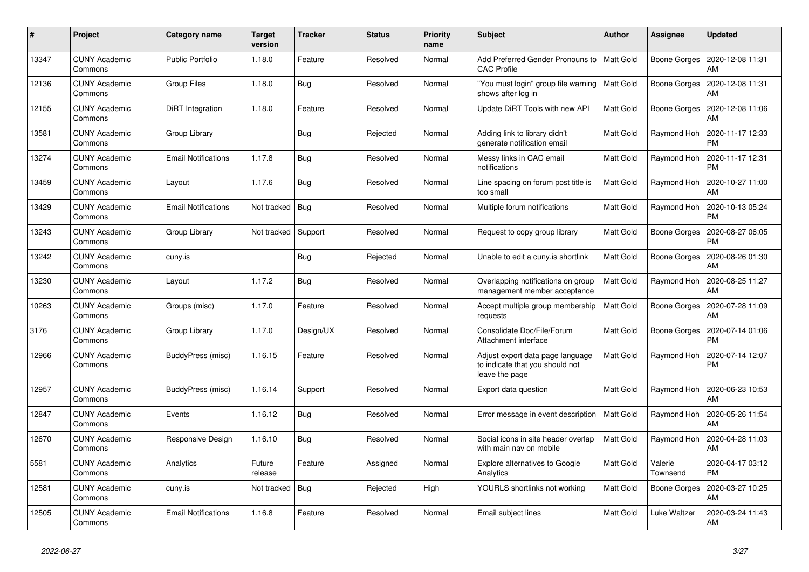| $\#$  | Project                         | <b>Category name</b>       | <b>Target</b><br>version | <b>Tracker</b> | <b>Status</b> | <b>Priority</b><br>name | <b>Subject</b>                                                                        | <b>Author</b>    | <b>Assignee</b>     | <b>Updated</b>                |
|-------|---------------------------------|----------------------------|--------------------------|----------------|---------------|-------------------------|---------------------------------------------------------------------------------------|------------------|---------------------|-------------------------------|
| 13347 | <b>CUNY Academic</b><br>Commons | <b>Public Portfolio</b>    | 1.18.0                   | Feature        | Resolved      | Normal                  | Add Preferred Gender Pronouns to<br><b>CAC Profile</b>                                | <b>Matt Gold</b> | Boone Gorges        | 2020-12-08 11:31<br>AM        |
| 12136 | <b>CUNY Academic</b><br>Commons | <b>Group Files</b>         | 1.18.0                   | Bug            | Resolved      | Normal                  | 'You must login" group file warning<br>shows after log in                             | Matt Gold        | Boone Gorges        | 2020-12-08 11:31<br>AM        |
| 12155 | <b>CUNY Academic</b><br>Commons | DiRT Integration           | 1.18.0                   | Feature        | Resolved      | Normal                  | Update DiRT Tools with new API                                                        | Matt Gold        | <b>Boone Gorges</b> | 2020-12-08 11:06<br>AM        |
| 13581 | <b>CUNY Academic</b><br>Commons | Group Library              |                          | Bug            | Rejected      | Normal                  | Adding link to library didn't<br>generate notification email                          | Matt Gold        | Raymond Hoh         | 2020-11-17 12:33<br><b>PM</b> |
| 13274 | <b>CUNY Academic</b><br>Commons | <b>Email Notifications</b> | 1.17.8                   | Bug            | Resolved      | Normal                  | Messy links in CAC email<br>notifications                                             | Matt Gold        | Raymond Hoh         | 2020-11-17 12:31<br><b>PM</b> |
| 13459 | <b>CUNY Academic</b><br>Commons | Layout                     | 1.17.6                   | <b>Bug</b>     | Resolved      | Normal                  | Line spacing on forum post title is<br>too small                                      | Matt Gold        | Raymond Hoh         | 2020-10-27 11:00<br>AM        |
| 13429 | <b>CUNY Academic</b><br>Commons | <b>Email Notifications</b> | Not tracked              | Bug            | Resolved      | Normal                  | Multiple forum notifications                                                          | Matt Gold        | Raymond Hoh         | 2020-10-13 05:24<br><b>PM</b> |
| 13243 | <b>CUNY Academic</b><br>Commons | Group Library              | Not tracked              | Support        | Resolved      | Normal                  | Request to copy group library                                                         | Matt Gold        | Boone Gorges        | 2020-08-27 06:05<br><b>PM</b> |
| 13242 | <b>CUNY Academic</b><br>Commons | cuny.is                    |                          | <b>Bug</b>     | Rejected      | Normal                  | Unable to edit a cuny.is shortlink                                                    | Matt Gold        | <b>Boone Gorges</b> | 2020-08-26 01:30<br>AM        |
| 13230 | <b>CUNY Academic</b><br>Commons | Layout                     | 1.17.2                   | <b>Bug</b>     | Resolved      | Normal                  | Overlapping notifications on group<br>management member acceptance                    | Matt Gold        | Raymond Hoh         | 2020-08-25 11:27<br>AM        |
| 10263 | <b>CUNY Academic</b><br>Commons | Groups (misc)              | 1.17.0                   | Feature        | Resolved      | Normal                  | Accept multiple group membership<br>requests                                          | Matt Gold        | Boone Gorges        | 2020-07-28 11:09<br>AM        |
| 3176  | <b>CUNY Academic</b><br>Commons | Group Library              | 1.17.0                   | Design/UX      | Resolved      | Normal                  | Consolidate Doc/File/Forum<br>Attachment interface                                    | Matt Gold        | Boone Gorges        | 2020-07-14 01:06<br><b>PM</b> |
| 12966 | <b>CUNY Academic</b><br>Commons | BuddyPress (misc)          | 1.16.15                  | Feature        | Resolved      | Normal                  | Adjust export data page language<br>to indicate that you should not<br>leave the page | Matt Gold        | Raymond Hoh         | 2020-07-14 12:07<br><b>PM</b> |
| 12957 | <b>CUNY Academic</b><br>Commons | BuddyPress (misc)          | 1.16.14                  | Support        | Resolved      | Normal                  | Export data question                                                                  | Matt Gold        | Raymond Hoh         | 2020-06-23 10:53<br>AM        |
| 12847 | <b>CUNY Academic</b><br>Commons | Events                     | 1.16.12                  | <b>Bug</b>     | Resolved      | Normal                  | Error message in event description                                                    | <b>Matt Gold</b> | Raymond Hoh         | 2020-05-26 11:54<br>AM        |
| 12670 | <b>CUNY Academic</b><br>Commons | Responsive Design          | 1.16.10                  | <b>Bug</b>     | Resolved      | Normal                  | Social icons in site header overlap<br>with main nav on mobile                        | Matt Gold        | Raymond Hoh         | 2020-04-28 11:03<br>AM        |
| 5581  | <b>CUNY Academic</b><br>Commons | Analytics                  | Future<br>release        | Feature        | Assigned      | Normal                  | <b>Explore alternatives to Google</b><br>Analytics                                    | Matt Gold        | Valerie<br>Townsend | 2020-04-17 03:12<br><b>PM</b> |
| 12581 | <b>CUNY Academic</b><br>Commons | cuny.is                    | Not tracked              | <b>Bug</b>     | Rejected      | High                    | YOURLS shortlinks not working                                                         | Matt Gold        | Boone Gorges        | 2020-03-27 10:25<br>AM        |
| 12505 | <b>CUNY Academic</b><br>Commons | <b>Email Notifications</b> | 1.16.8                   | Feature        | Resolved      | Normal                  | Email subject lines                                                                   | Matt Gold        | Luke Waltzer        | 2020-03-24 11:43<br>AM        |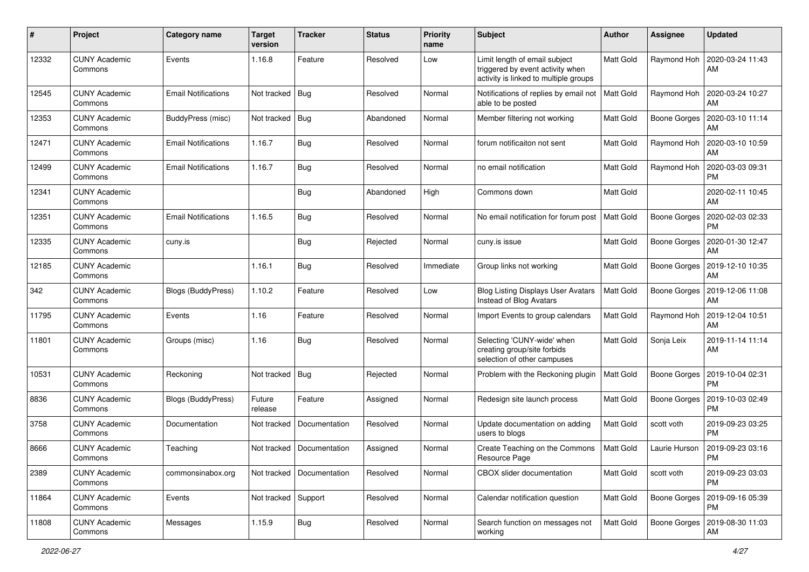| #     | Project                         | Category name              | <b>Target</b><br>version | <b>Tracker</b>              | <b>Status</b> | <b>Priority</b><br>name | Subject                                                                                                    | <b>Author</b> | <b>Assignee</b>     | <b>Updated</b>                |
|-------|---------------------------------|----------------------------|--------------------------|-----------------------------|---------------|-------------------------|------------------------------------------------------------------------------------------------------------|---------------|---------------------|-------------------------------|
| 12332 | <b>CUNY Academic</b><br>Commons | Events                     | 1.16.8                   | Feature                     | Resolved      | Low                     | Limit length of email subject<br>triggered by event activity when<br>activity is linked to multiple groups | Matt Gold     | Raymond Hoh         | 2020-03-24 11:43<br>AM        |
| 12545 | <b>CUNY Academic</b><br>Commons | <b>Email Notifications</b> | Not tracked              | Bug                         | Resolved      | Normal                  | Notifications of replies by email not<br>able to be posted                                                 | Matt Gold     | Raymond Hoh         | 2020-03-24 10:27<br>AM        |
| 12353 | <b>CUNY Academic</b><br>Commons | BuddyPress (misc)          | Not tracked   Bug        |                             | Abandoned     | Normal                  | Member filtering not working                                                                               | Matt Gold     | Boone Gorges        | 2020-03-10 11:14<br>AM        |
| 12471 | <b>CUNY Academic</b><br>Commons | Email Notifications        | 1.16.7                   | Bug                         | Resolved      | Normal                  | forum notificaiton not sent                                                                                | Matt Gold     | Raymond Hoh         | 2020-03-10 10:59<br>AM        |
| 12499 | <b>CUNY Academic</b><br>Commons | Email Notifications        | 1.16.7                   | <b>Bug</b>                  | Resolved      | Normal                  | no email notification                                                                                      | Matt Gold     | Raymond Hoh         | 2020-03-03 09:31<br>PM        |
| 12341 | <b>CUNY Academic</b><br>Commons |                            |                          | Bug                         | Abandoned     | High                    | Commons down                                                                                               | Matt Gold     |                     | 2020-02-11 10:45<br><b>AM</b> |
| 12351 | <b>CUNY Academic</b><br>Commons | <b>Email Notifications</b> | 1.16.5                   | Bug                         | Resolved      | Normal                  | No email notification for forum post                                                                       | Matt Gold     | Boone Gorges        | 2020-02-03 02:33<br>PM        |
| 12335 | <b>CUNY Academic</b><br>Commons | cuny.is                    |                          | Bug                         | Rejected      | Normal                  | cuny.is issue                                                                                              | Matt Gold     | Boone Gorges        | 2020-01-30 12:47<br>AM        |
| 12185 | <b>CUNY Academic</b><br>Commons |                            | 1.16.1                   | Bug                         | Resolved      | Immediate               | Group links not working                                                                                    | Matt Gold     | <b>Boone Gorges</b> | 2019-12-10 10:35<br>AM        |
| 342   | <b>CUNY Academic</b><br>Commons | <b>Blogs (BuddyPress)</b>  | 1.10.2                   | Feature                     | Resolved      | Low                     | <b>Blog Listing Displays User Avatars</b><br>Instead of Blog Avatars                                       | Matt Gold     | Boone Gorges        | 2019-12-06 11:08<br>AM        |
| 11795 | CUNY Academic<br>Commons        | Events                     | 1.16                     | Feature                     | Resolved      | Normal                  | Import Events to group calendars                                                                           | Matt Gold     | Raymond Hoh         | 2019-12-04 10:51<br>AM        |
| 11801 | <b>CUNY Academic</b><br>Commons | Groups (misc)              | 1.16                     | <b>Bug</b>                  | Resolved      | Normal                  | Selecting 'CUNY-wide' when<br>creating group/site forbids<br>selection of other campuses                   | Matt Gold     | Sonja Leix          | 2019-11-14 11:14<br>AM        |
| 10531 | <b>CUNY Academic</b><br>Commons | Reckoning                  | Not tracked              | <b>Bug</b>                  | Rejected      | Normal                  | Problem with the Reckoning plugin                                                                          | Matt Gold     | Boone Gorges        | 2019-10-04 02:31<br><b>PM</b> |
| 8836  | <b>CUNY Academic</b><br>Commons | <b>Blogs (BuddyPress)</b>  | Future<br>release        | Feature                     | Assigned      | Normal                  | Redesign site launch process                                                                               | Matt Gold     | Boone Gorges        | 2019-10-03 02:49<br><b>PM</b> |
| 3758  | <b>CUNY Academic</b><br>Commons | Documentation              | Not tracked              | Documentation               | Resolved      | Normal                  | Update documentation on adding<br>users to blogs                                                           | Matt Gold     | scott voth          | 2019-09-23 03:25<br><b>PM</b> |
| 8666  | <b>CUNY Academic</b><br>Commons | Teaching                   |                          | Not tracked   Documentation | Assigned      | Normal                  | Create Teaching on the Commons<br>Resource Page                                                            | Matt Gold     | Laurie Hurson       | 2019-09-23 03:16<br>PM        |
| 2389  | <b>CUNY Academic</b><br>Commons | commonsinabox.org          | Not tracked              | Documentation               | Resolved      | Normal                  | CBOX slider documentation                                                                                  | Matt Gold     | scott voth          | 2019-09-23 03:03<br>PM        |
| 11864 | <b>CUNY Academic</b><br>Commons | Events                     | Not tracked Support      |                             | Resolved      | Normal                  | Calendar notification question                                                                             | Matt Gold     | Boone Gorges        | 2019-09-16 05:39<br><b>PM</b> |
| 11808 | <b>CUNY Academic</b><br>Commons | Messages                   | 1.15.9                   | <b>Bug</b>                  | Resolved      | Normal                  | Search function on messages not<br>working                                                                 | Matt Gold     | <b>Boone Gorges</b> | 2019-08-30 11:03<br>AM        |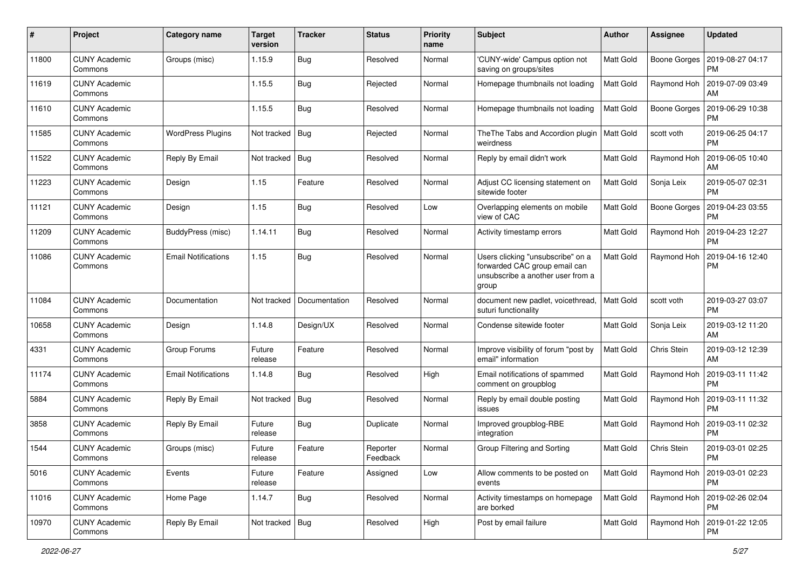| $\#$  | Project                         | Category name              | <b>Target</b><br>version | <b>Tracker</b> | <b>Status</b>        | <b>Priority</b><br>name | Subject                                                                                                          | Author           | <b>Assignee</b>     | <b>Updated</b>                |
|-------|---------------------------------|----------------------------|--------------------------|----------------|----------------------|-------------------------|------------------------------------------------------------------------------------------------------------------|------------------|---------------------|-------------------------------|
| 11800 | <b>CUNY Academic</b><br>Commons | Groups (misc)              | 1.15.9                   | <b>Bug</b>     | Resolved             | Normal                  | 'CUNY-wide' Campus option not<br>saving on groups/sites                                                          | Matt Gold        | Boone Gorges        | 2019-08-27 04:17<br><b>PM</b> |
| 11619 | <b>CUNY Academic</b><br>Commons |                            | 1.15.5                   | Bug            | Rejected             | Normal                  | Homepage thumbnails not loading                                                                                  | Matt Gold        | Raymond Hoh         | 2019-07-09 03:49<br>AM        |
| 11610 | <b>CUNY Academic</b><br>Commons |                            | 1.15.5                   | Bug            | Resolved             | Normal                  | Homepage thumbnails not loading                                                                                  | Matt Gold        | <b>Boone Gorges</b> | 2019-06-29 10:38<br><b>PM</b> |
| 11585 | <b>CUNY Academic</b><br>Commons | <b>WordPress Plugins</b>   | Not tracked              | Bug            | Rejected             | Normal                  | The The Tabs and Accordion plugin<br>weirdness                                                                   | Matt Gold        | scott voth          | 2019-06-25 04:17<br><b>PM</b> |
| 11522 | <b>CUNY Academic</b><br>Commons | Reply By Email             | Not tracked              | $\vert$ Bug    | Resolved             | Normal                  | Reply by email didn't work                                                                                       | Matt Gold        | Raymond Hoh         | 2019-06-05 10:40<br>AM        |
| 11223 | <b>CUNY Academic</b><br>Commons | Design                     | 1.15                     | Feature        | Resolved             | Normal                  | Adjust CC licensing statement on<br>sitewide footer                                                              | Matt Gold        | Sonja Leix          | 2019-05-07 02:31<br><b>PM</b> |
| 11121 | <b>CUNY Academic</b><br>Commons | Design                     | 1.15                     | Bug            | Resolved             | Low                     | Overlapping elements on mobile<br>view of CAC                                                                    | Matt Gold        | <b>Boone Gorges</b> | 2019-04-23 03:55<br><b>PM</b> |
| 11209 | <b>CUNY Academic</b><br>Commons | BuddyPress (misc)          | 1.14.11                  | Bug            | Resolved             | Normal                  | Activity timestamp errors                                                                                        | Matt Gold        | Raymond Hoh         | 2019-04-23 12:27<br><b>PM</b> |
| 11086 | <b>CUNY Academic</b><br>Commons | <b>Email Notifications</b> | 1.15                     | Bug            | Resolved             | Normal                  | Users clicking "unsubscribe" on a<br>forwarded CAC group email can<br>unsubscribe a another user from a<br>group | Matt Gold        | Raymond Hoh         | 2019-04-16 12:40<br><b>PM</b> |
| 11084 | <b>CUNY Academic</b><br>Commons | Documentation              | Not tracked              | Documentation  | Resolved             | Normal                  | document new padlet, voicethread,<br>suturi functionality                                                        | Matt Gold        | scott voth          | 2019-03-27 03:07<br><b>PM</b> |
| 10658 | <b>CUNY Academic</b><br>Commons | Design                     | 1.14.8                   | Design/UX      | Resolved             | Normal                  | Condense sitewide footer                                                                                         | Matt Gold        | Sonja Leix          | 2019-03-12 11:20<br>AM        |
| 4331  | <b>CUNY Academic</b><br>Commons | Group Forums               | Future<br>release        | Feature        | Resolved             | Normal                  | Improve visibility of forum "post by<br>email" information                                                       | Matt Gold        | Chris Stein         | 2019-03-12 12:39<br>AM        |
| 11174 | <b>CUNY Academic</b><br>Commons | <b>Email Notifications</b> | 1.14.8                   | Bug            | Resolved             | High                    | Email notifications of spammed<br>comment on groupblog                                                           | Matt Gold        | Raymond Hoh         | 2019-03-11 11:42<br><b>PM</b> |
| 5884  | <b>CUNY Academic</b><br>Commons | Reply By Email             | Not tracked              | Bug            | Resolved             | Normal                  | Reply by email double posting<br>issues                                                                          | Matt Gold        | Raymond Hoh         | 2019-03-11 11:32<br><b>PM</b> |
| 3858  | <b>CUNY Academic</b><br>Commons | Reply By Email             | Future<br>release        | Bug            | Duplicate            | Normal                  | Improved groupblog-RBE<br>integration                                                                            | Matt Gold        | Raymond Hoh         | 2019-03-11 02:32<br><b>PM</b> |
| 1544  | <b>CUNY Academic</b><br>Commons | Groups (misc)              | Future<br>release        | Feature        | Reporter<br>Feedback | Normal                  | Group Filtering and Sorting                                                                                      | Matt Gold        | Chris Stein         | 2019-03-01 02:25<br>PM        |
| 5016  | <b>CUNY Academic</b><br>Commons | Events                     | Future<br>release        | Feature        | Assigned             | Low                     | Allow comments to be posted on<br>events                                                                         | Matt Gold        | Raymond Hoh         | 2019-03-01 02:23<br><b>PM</b> |
| 11016 | <b>CUNY Academic</b><br>Commons | Home Page                  | 1.14.7                   | Bug            | Resolved             | Normal                  | Activity timestamps on homepage<br>are borked                                                                    | <b>Matt Gold</b> | Raymond Hoh         | 2019-02-26 02:04<br><b>PM</b> |
| 10970 | <b>CUNY Academic</b><br>Commons | Reply By Email             | Not tracked   Bug        |                | Resolved             | High                    | Post by email failure                                                                                            | Matt Gold        | Raymond Hoh         | 2019-01-22 12:05<br><b>PM</b> |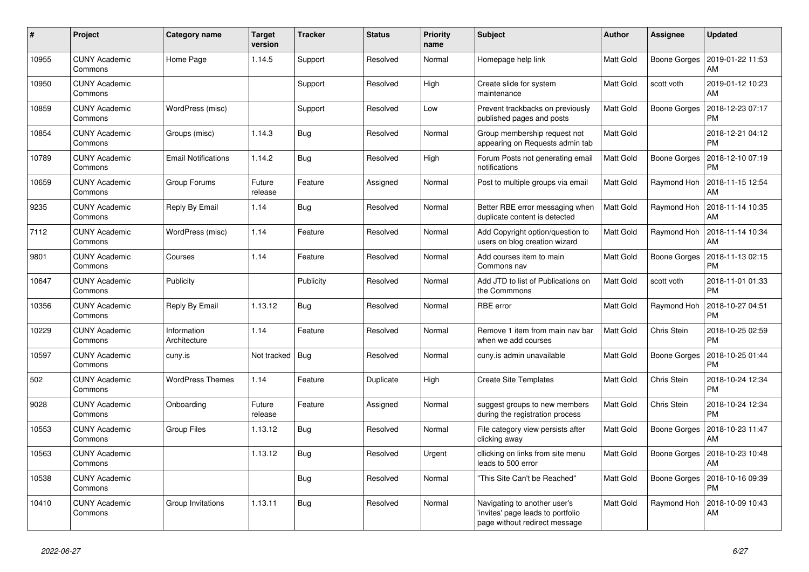| #     | Project                         | <b>Category name</b>        | <b>Target</b><br>version | <b>Tracker</b> | <b>Status</b> | <b>Priority</b><br>name | <b>Subject</b>                                                                                     | <b>Author</b>    | Assignee     | <b>Updated</b>                |
|-------|---------------------------------|-----------------------------|--------------------------|----------------|---------------|-------------------------|----------------------------------------------------------------------------------------------------|------------------|--------------|-------------------------------|
| 10955 | <b>CUNY Academic</b><br>Commons | Home Page                   | 1.14.5                   | Support        | Resolved      | Normal                  | Homepage help link                                                                                 | Matt Gold        | Boone Gorges | 2019-01-22 11:53<br><b>AM</b> |
| 10950 | <b>CUNY Academic</b><br>Commons |                             |                          | Support        | Resolved      | High                    | Create slide for system<br>maintenance                                                             | Matt Gold        | scott voth   | 2019-01-12 10:23<br><b>AM</b> |
| 10859 | <b>CUNY Academic</b><br>Commons | WordPress (misc)            |                          | Support        | Resolved      | Low                     | Prevent trackbacks on previously<br>published pages and posts                                      | Matt Gold        | Boone Gorges | 2018-12-23 07:17<br><b>PM</b> |
| 10854 | <b>CUNY Academic</b><br>Commons | Groups (misc)               | 1.14.3                   | <b>Bug</b>     | Resolved      | Normal                  | Group membership request not<br>appearing on Requests admin tab                                    | Matt Gold        |              | 2018-12-21 04:12<br><b>PM</b> |
| 10789 | <b>CUNY Academic</b><br>Commons | <b>Email Notifications</b>  | 1.14.2                   | Bug            | Resolved      | High                    | Forum Posts not generating email<br>notifications                                                  | Matt Gold        | Boone Gorges | 2018-12-10 07:19<br>PM        |
| 10659 | <b>CUNY Academic</b><br>Commons | Group Forums                | Future<br>release        | Feature        | Assigned      | Normal                  | Post to multiple groups via email                                                                  | Matt Gold        | Raymond Hoh  | 2018-11-15 12:54<br><b>AM</b> |
| 9235  | <b>CUNY Academic</b><br>Commons | Reply By Email              | 1.14                     | Bug            | Resolved      | Normal                  | Better RBE error messaging when<br>duplicate content is detected                                   | <b>Matt Gold</b> | Raymond Hoh  | 2018-11-14 10:35<br>AM        |
| 7112  | <b>CUNY Academic</b><br>Commons | WordPress (misc)            | 1.14                     | Feature        | Resolved      | Normal                  | Add Copyright option/question to<br>users on blog creation wizard                                  | Matt Gold        | Raymond Hoh  | 2018-11-14 10:34<br>AM        |
| 9801  | <b>CUNY Academic</b><br>Commons | Courses                     | 1.14                     | Feature        | Resolved      | Normal                  | Add courses item to main<br>Commons nav                                                            | Matt Gold        | Boone Gorges | 2018-11-13 02:15<br><b>PM</b> |
| 10647 | <b>CUNY Academic</b><br>Commons | Publicity                   |                          | Publicity      | Resolved      | Normal                  | Add JTD to list of Publications on<br>the Commmons                                                 | Matt Gold        | scott voth   | 2018-11-01 01:33<br><b>PM</b> |
| 10356 | <b>CUNY Academic</b><br>Commons | Reply By Email              | 1.13.12                  | <b>Bug</b>     | Resolved      | Normal                  | RBE error                                                                                          | Matt Gold        | Raymond Hoh  | 2018-10-27 04:51<br><b>PM</b> |
| 10229 | <b>CUNY Academic</b><br>Commons | Information<br>Architecture | 1.14                     | Feature        | Resolved      | Normal                  | Remove 1 item from main nav bar<br>when we add courses                                             | Matt Gold        | Chris Stein  | 2018-10-25 02:59<br><b>PM</b> |
| 10597 | <b>CUNY Academic</b><br>Commons | cuny.is                     | Not tracked              | Bug            | Resolved      | Normal                  | cuny is admin unavailable                                                                          | Matt Gold        | Boone Gorges | 2018-10-25 01:44<br><b>PM</b> |
| 502   | <b>CUNY Academic</b><br>Commons | <b>WordPress Themes</b>     | 1.14                     | Feature        | Duplicate     | High                    | <b>Create Site Templates</b>                                                                       | Matt Gold        | Chris Stein  | 2018-10-24 12:34<br><b>PM</b> |
| 9028  | <b>CUNY Academic</b><br>Commons | Onboarding                  | Future<br>release        | Feature        | Assigned      | Normal                  | suggest groups to new members<br>during the registration process                                   | Matt Gold        | Chris Stein  | 2018-10-24 12:34<br><b>PM</b> |
| 10553 | <b>CUNY Academic</b><br>Commons | Group Files                 | 1.13.12                  | <b>Bug</b>     | Resolved      | Normal                  | File category view persists after<br>clicking away                                                 | Matt Gold        | Boone Gorges | 2018-10-23 11:47<br>AM        |
| 10563 | <b>CUNY Academic</b><br>Commons |                             | 1.13.12                  | <b>Bug</b>     | Resolved      | Urgent                  | cllicking on links from site menu<br>leads to 500 error                                            | Matt Gold        | Boone Gorges | 2018-10-23 10:48<br>AM        |
| 10538 | <b>CUNY Academic</b><br>Commons |                             |                          | Bug            | Resolved      | Normal                  | "This Site Can't be Reached"                                                                       | Matt Gold        | Boone Gorges | 2018-10-16 09:39<br>РM        |
| 10410 | <b>CUNY Academic</b><br>Commons | Group Invitations           | 1.13.11                  | Bug            | Resolved      | Normal                  | Navigating to another user's<br>'invites' page leads to portfolio<br>page without redirect message | Matt Gold        | Raymond Hoh  | 2018-10-09 10:43<br>AM        |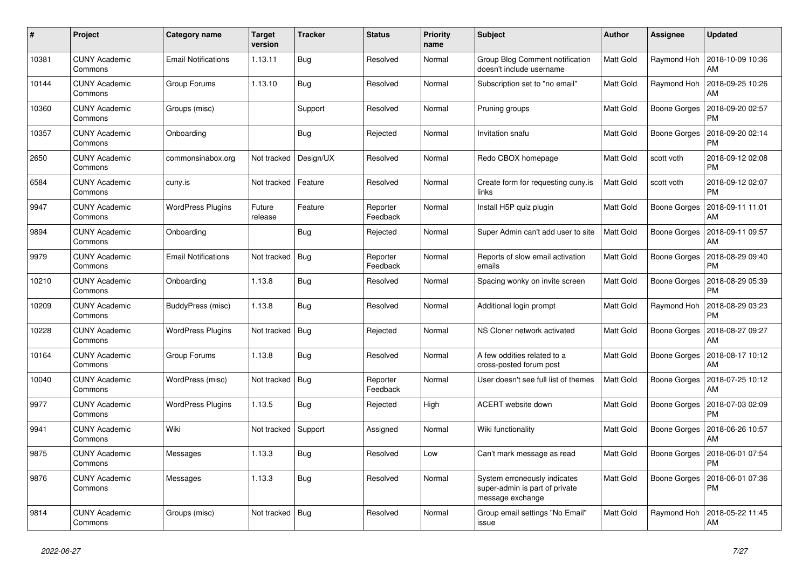| #     | Project                         | <b>Category name</b>       | <b>Target</b><br>version | <b>Tracker</b> | <b>Status</b>        | <b>Priority</b><br>name | <b>Subject</b>                                                                     | <b>Author</b> | Assignee            | Updated                       |
|-------|---------------------------------|----------------------------|--------------------------|----------------|----------------------|-------------------------|------------------------------------------------------------------------------------|---------------|---------------------|-------------------------------|
| 10381 | <b>CUNY Academic</b><br>Commons | <b>Email Notifications</b> | 1.13.11                  | <b>Bug</b>     | Resolved             | Normal                  | Group Blog Comment notification<br>doesn't include username                        | Matt Gold     | Raymond Hoh         | 2018-10-09 10:36<br>AM        |
| 10144 | <b>CUNY Academic</b><br>Commons | Group Forums               | 1.13.10                  | <b>Bug</b>     | Resolved             | Normal                  | Subscription set to "no email"                                                     | Matt Gold     | Raymond Hoh         | 2018-09-25 10:26<br>AM        |
| 10360 | <b>CUNY Academic</b><br>Commons | Groups (misc)              |                          | Support        | Resolved             | Normal                  | Pruning groups                                                                     | Matt Gold     | Boone Gorges        | 2018-09-20 02:57<br>PM        |
| 10357 | <b>CUNY Academic</b><br>Commons | Onboarding                 |                          | <b>Bug</b>     | Rejected             | Normal                  | Invitation snafu                                                                   | Matt Gold     | Boone Gorges        | 2018-09-20 02:14<br><b>PM</b> |
| 2650  | <b>CUNY Academic</b><br>Commons | commonsinabox.org          | Not tracked              | Design/UX      | Resolved             | Normal                  | Redo CBOX homepage                                                                 | Matt Gold     | scott voth          | 2018-09-12 02:08<br><b>PM</b> |
| 6584  | <b>CUNY Academic</b><br>Commons | cuny.is                    | Not tracked              | Feature        | Resolved             | Normal                  | Create form for requesting cuny.is<br>links                                        | Matt Gold     | scott voth          | 2018-09-12 02:07<br><b>PM</b> |
| 9947  | <b>CUNY Academic</b><br>Commons | <b>WordPress Plugins</b>   | Future<br>release        | Feature        | Reporter<br>Feedback | Normal                  | Install H5P quiz plugin                                                            | Matt Gold     | Boone Gorges        | 2018-09-11 11:01<br>AM        |
| 9894  | <b>CUNY Academic</b><br>Commons | Onboarding                 |                          | Bug            | Rejected             | Normal                  | Super Admin can't add user to site                                                 | Matt Gold     | Boone Gorges        | 2018-09-11 09:57<br>AM        |
| 9979  | <b>CUNY Academic</b><br>Commons | Email Notifications        | Not tracked              | Bug            | Reporter<br>Feedback | Normal                  | Reports of slow email activation<br>emails                                         | Matt Gold     | Boone Gorges        | 2018-08-29 09:40<br>PM        |
| 10210 | <b>CUNY Academic</b><br>Commons | Onboarding                 | 1.13.8                   | Bug            | Resolved             | Normal                  | Spacing wonky on invite screen                                                     | Matt Gold     | Boone Gorges        | 2018-08-29 05:39<br>PM        |
| 10209 | <b>CUNY Academic</b><br>Commons | BuddyPress (misc)          | 1.13.8                   | <b>Bug</b>     | Resolved             | Normal                  | Additional login prompt                                                            | Matt Gold     | Raymond Hoh         | 2018-08-29 03:23<br>РM        |
| 10228 | <b>CUNY Academic</b><br>Commons | <b>WordPress Plugins</b>   | Not tracked              | Bug            | Rejected             | Normal                  | NS Cloner network activated                                                        | Matt Gold     | Boone Gorges        | 2018-08-27 09:27<br>AM        |
| 10164 | <b>CUNY Academic</b><br>Commons | Group Forums               | 1.13.8                   | <b>Bug</b>     | Resolved             | Normal                  | A few oddities related to a<br>cross-posted forum post                             | Matt Gold     | Boone Gorges        | 2018-08-17 10:12<br>AM        |
| 10040 | <b>CUNY Academic</b><br>Commons | WordPress (misc)           | Not tracked              | Bug            | Reporter<br>Feedback | Normal                  | User doesn't see full list of themes                                               | Matt Gold     | Boone Gorges        | 2018-07-25 10:12<br>AM        |
| 9977  | <b>CUNY Academic</b><br>Commons | <b>WordPress Plugins</b>   | 1.13.5                   | Bug            | Rejected             | High                    | ACERT website down                                                                 | Matt Gold     | <b>Boone Gorges</b> | 2018-07-03 02:09<br><b>PM</b> |
| 9941  | <b>CUNY Academic</b><br>Commons | Wiki                       | Not tracked              | Support        | Assigned             | Normal                  | Wiki functionality                                                                 | Matt Gold     | Boone Gorges        | 2018-06-26 10:57<br>AM        |
| 9875  | <b>CUNY Academic</b><br>Commons | Messages                   | 1.13.3                   | <b>Bug</b>     | Resolved             | Low                     | Can't mark message as read                                                         | Matt Gold     | Boone Gorges        | 2018-06-01 07:54<br><b>PM</b> |
| 9876  | <b>CUNY Academic</b><br>Commons | Messages                   | 1.13.3                   | Bug            | Resolved             | Normal                  | System erroneously indicates<br>super-admin is part of private<br>message exchange | Matt Gold     | <b>Boone Gorges</b> | 2018-06-01 07:36<br>PM        |
| 9814  | <b>CUNY Academic</b><br>Commons | Groups (misc)              | Not tracked              | Bug            | Resolved             | Normal                  | Group email settings "No Email"<br>issue                                           | Matt Gold     | Raymond Hoh         | 2018-05-22 11:45<br>AM        |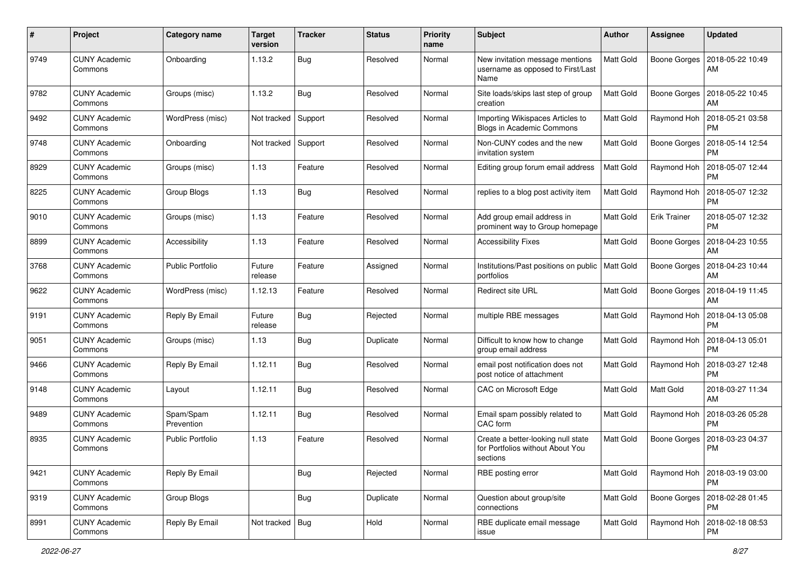| #    | Project                         | <b>Category name</b>    | <b>Target</b><br>version | <b>Tracker</b> | <b>Status</b> | <b>Priority</b><br>name | Subject                                                                            | <b>Author</b>    | <b>Assignee</b>     | <b>Updated</b>                |
|------|---------------------------------|-------------------------|--------------------------|----------------|---------------|-------------------------|------------------------------------------------------------------------------------|------------------|---------------------|-------------------------------|
| 9749 | <b>CUNY Academic</b><br>Commons | Onboarding              | 1.13.2                   | Bug            | Resolved      | Normal                  | New invitation message mentions<br>username as opposed to First/Last<br>Name       | <b>Matt Gold</b> | <b>Boone Gorges</b> | 2018-05-22 10:49<br>AM        |
| 9782 | <b>CUNY Academic</b><br>Commons | Groups (misc)           | 1.13.2                   | <b>Bug</b>     | Resolved      | Normal                  | Site loads/skips last step of group<br>creation                                    | Matt Gold        | Boone Gorges        | 2018-05-22 10:45<br>AM        |
| 9492 | <b>CUNY Academic</b><br>Commons | WordPress (misc)        | Not tracked              | Support        | Resolved      | Normal                  | Importing Wikispaces Articles to<br>Blogs in Academic Commons                      | Matt Gold        | Raymond Hoh         | 2018-05-21 03:58<br><b>PM</b> |
| 9748 | <b>CUNY Academic</b><br>Commons | Onboarding              | Not tracked              | Support        | Resolved      | Normal                  | Non-CUNY codes and the new<br>invitation system                                    | Matt Gold        | Boone Gorges        | 2018-05-14 12:54<br><b>PM</b> |
| 8929 | <b>CUNY Academic</b><br>Commons | Groups (misc)           | 1.13                     | Feature        | Resolved      | Normal                  | Editing group forum email address                                                  | <b>Matt Gold</b> | Raymond Hoh         | 2018-05-07 12:44<br><b>PM</b> |
| 8225 | <b>CUNY Academic</b><br>Commons | Group Blogs             | 1.13                     | Bug            | Resolved      | Normal                  | replies to a blog post activity item                                               | <b>Matt Gold</b> | Raymond Hoh         | 2018-05-07 12:32<br><b>PM</b> |
| 9010 | <b>CUNY Academic</b><br>Commons | Groups (misc)           | 1.13                     | Feature        | Resolved      | Normal                  | Add group email address in<br>prominent way to Group homepage                      | Matt Gold        | <b>Erik Trainer</b> | 2018-05-07 12:32<br><b>PM</b> |
| 8899 | <b>CUNY Academic</b><br>Commons | Accessibility           | 1.13                     | Feature        | Resolved      | Normal                  | <b>Accessibility Fixes</b>                                                         | Matt Gold        | <b>Boone Gorges</b> | 2018-04-23 10:55<br>AM        |
| 3768 | <b>CUNY Academic</b><br>Commons | <b>Public Portfolio</b> | Future<br>release        | Feature        | Assigned      | Normal                  | Institutions/Past positions on public<br>portfolios                                | Matt Gold        | <b>Boone Gorges</b> | 2018-04-23 10:44<br>AM        |
| 9622 | <b>CUNY Academic</b><br>Commons | WordPress (misc)        | 1.12.13                  | Feature        | Resolved      | Normal                  | Redirect site URL                                                                  | <b>Matt Gold</b> | Boone Gorges        | 2018-04-19 11:45<br>AM        |
| 9191 | <b>CUNY Academic</b><br>Commons | Reply By Email          | Future<br>release        | <b>Bug</b>     | Rejected      | Normal                  | multiple RBE messages                                                              | Matt Gold        | Raymond Hoh         | 2018-04-13 05:08<br><b>PM</b> |
| 9051 | <b>CUNY Academic</b><br>Commons | Groups (misc)           | 1.13                     | Bug            | Duplicate     | Normal                  | Difficult to know how to change<br>group email address                             | Matt Gold        | Raymond Hoh         | 2018-04-13 05:01<br><b>PM</b> |
| 9466 | <b>CUNY Academic</b><br>Commons | Reply By Email          | 1.12.11                  | <b>Bug</b>     | Resolved      | Normal                  | email post notification does not<br>post notice of attachment                      | Matt Gold        | Raymond Hoh         | 2018-03-27 12:48<br><b>PM</b> |
| 9148 | <b>CUNY Academic</b><br>Commons | Layout                  | 1.12.11                  | Bug            | Resolved      | Normal                  | CAC on Microsoft Edge                                                              | Matt Gold        | <b>Matt Gold</b>    | 2018-03-27 11:34<br>AM        |
| 9489 | <b>CUNY Academic</b><br>Commons | Spam/Spam<br>Prevention | 1.12.11                  | Bug            | Resolved      | Normal                  | Email spam possibly related to<br>CAC form                                         | Matt Gold        | Raymond Hoh         | 2018-03-26 05:28<br><b>PM</b> |
| 8935 | <b>CUNY Academic</b><br>Commons | <b>Public Portfolio</b> | 1.13                     | Feature        | Resolved      | Normal                  | Create a better-looking null state<br>for Portfolios without About You<br>sections | Matt Gold        | <b>Boone Gorges</b> | 2018-03-23 04:37<br><b>PM</b> |
| 9421 | <b>CUNY Academic</b><br>Commons | Reply By Email          |                          | <b>Bug</b>     | Rejected      | Normal                  | RBE posting error                                                                  | Matt Gold        | Raymond Hoh         | 2018-03-19 03:00<br><b>PM</b> |
| 9319 | <b>CUNY Academic</b><br>Commons | Group Blogs             |                          | <b>Bug</b>     | Duplicate     | Normal                  | Question about group/site<br>connections                                           | Matt Gold        | Boone Gorges        | 2018-02-28 01:45<br><b>PM</b> |
| 8991 | <b>CUNY Academic</b><br>Commons | Reply By Email          | Not tracked   Bug        |                | Hold          | Normal                  | RBE duplicate email message<br>issue                                               | Matt Gold        | Raymond Hoh         | 2018-02-18 08:53<br><b>PM</b> |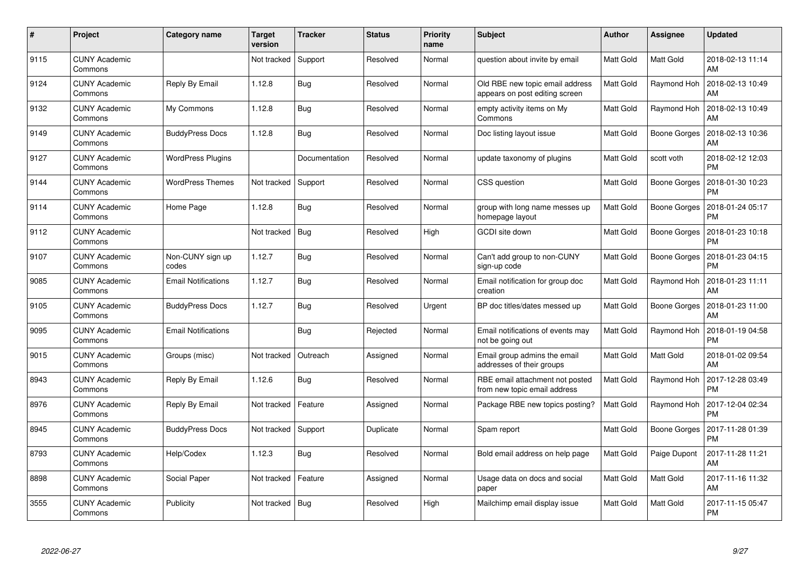| #    | Project                         | <b>Category name</b>       | <b>Target</b><br>version | <b>Tracker</b> | <b>Status</b> | <b>Priority</b><br>name | <b>Subject</b>                                                    | Author    | <b>Assignee</b>     | <b>Updated</b>                |
|------|---------------------------------|----------------------------|--------------------------|----------------|---------------|-------------------------|-------------------------------------------------------------------|-----------|---------------------|-------------------------------|
| 9115 | <b>CUNY Academic</b><br>Commons |                            | Not tracked              | Support        | Resolved      | Normal                  | question about invite by email                                    | Matt Gold | Matt Gold           | 2018-02-13 11:14<br>AM        |
| 9124 | <b>CUNY Academic</b><br>Commons | Reply By Email             | 1.12.8                   | Bug            | Resolved      | Normal                  | Old RBE new topic email address<br>appears on post editing screen | Matt Gold | Raymond Hoh         | 2018-02-13 10:49<br>AM        |
| 9132 | <b>CUNY Academic</b><br>Commons | My Commons                 | 1.12.8                   | Bug            | Resolved      | Normal                  | empty activity items on My<br>Commons                             | Matt Gold | Raymond Hoh         | 2018-02-13 10:49<br>AM        |
| 9149 | <b>CUNY Academic</b><br>Commons | <b>BuddyPress Docs</b>     | 1.12.8                   | Bug            | Resolved      | Normal                  | Doc listing layout issue                                          | Matt Gold | Boone Gorges        | 2018-02-13 10:36<br>AM        |
| 9127 | <b>CUNY Academic</b><br>Commons | <b>WordPress Plugins</b>   |                          | Documentation  | Resolved      | Normal                  | update taxonomy of plugins                                        | Matt Gold | scott voth          | 2018-02-12 12:03<br><b>PM</b> |
| 9144 | <b>CUNY Academic</b><br>Commons | <b>WordPress Themes</b>    | Not tracked              | Support        | Resolved      | Normal                  | CSS question                                                      | Matt Gold | Boone Gorges        | 2018-01-30 10:23<br><b>PM</b> |
| 9114 | <b>CUNY Academic</b><br>Commons | Home Page                  | 1.12.8                   | Bug            | Resolved      | Normal                  | group with long name messes up<br>homepage layout                 | Matt Gold | <b>Boone Gorges</b> | 2018-01-24 05:17<br><b>PM</b> |
| 9112 | <b>CUNY Academic</b><br>Commons |                            | Not tracked              | <b>Bug</b>     | Resolved      | High                    | GCDI site down                                                    | Matt Gold | Boone Gorges        | 2018-01-23 10:18<br><b>PM</b> |
| 9107 | <b>CUNY Academic</b><br>Commons | Non-CUNY sign up<br>codes  | 1.12.7                   | Bug            | Resolved      | Normal                  | Can't add group to non-CUNY<br>sign-up code                       | Matt Gold | Boone Gorges        | 2018-01-23 04:15<br><b>PM</b> |
| 9085 | <b>CUNY Academic</b><br>Commons | <b>Email Notifications</b> | 1.12.7                   | Bug            | Resolved      | Normal                  | Email notification for group doc<br>creation                      | Matt Gold | Raymond Hoh         | 2018-01-23 11:11<br>AM        |
| 9105 | <b>CUNY Academic</b><br>Commons | <b>BuddyPress Docs</b>     | 1.12.7                   | Bug            | Resolved      | Urgent                  | BP doc titles/dates messed up                                     | Matt Gold | Boone Gorges        | 2018-01-23 11:00<br>AM        |
| 9095 | <b>CUNY Academic</b><br>Commons | <b>Email Notifications</b> |                          | <b>Bug</b>     | Rejected      | Normal                  | Email notifications of events may<br>not be going out             | Matt Gold | Raymond Hoh         | 2018-01-19 04:58<br><b>PM</b> |
| 9015 | <b>CUNY Academic</b><br>Commons | Groups (misc)              | Not tracked              | Outreach       | Assigned      | Normal                  | Email group admins the email<br>addresses of their groups         | Matt Gold | Matt Gold           | 2018-01-02 09:54<br>AM        |
| 8943 | <b>CUNY Academic</b><br>Commons | Reply By Email             | 1.12.6                   | Bug            | Resolved      | Normal                  | RBE email attachment not posted<br>from new topic email address   | Matt Gold | Raymond Hoh         | 2017-12-28 03:49<br><b>PM</b> |
| 8976 | <b>CUNY Academic</b><br>Commons | Reply By Email             | Not tracked              | Feature        | Assigned      | Normal                  | Package RBE new topics posting?                                   | Matt Gold | Raymond Hoh         | 2017-12-04 02:34<br><b>PM</b> |
| 8945 | <b>CUNY Academic</b><br>Commons | <b>BuddyPress Docs</b>     | Not tracked              | Support        | Duplicate     | Normal                  | Spam report                                                       | Matt Gold | Boone Gorges        | 2017-11-28 01:39<br><b>PM</b> |
| 8793 | <b>CUNY Academic</b><br>Commons | Help/Codex                 | 1.12.3                   | Bug            | Resolved      | Normal                  | Bold email address on help page                                   | Matt Gold | Paige Dupont        | 2017-11-28 11:21<br>AM        |
| 8898 | <b>CUNY Academic</b><br>Commons | Social Paper               | Not tracked              | Feature        | Assigned      | Normal                  | Usage data on docs and social<br>paper                            | Matt Gold | Matt Gold           | 2017-11-16 11:32<br>AM        |
| 3555 | CUNY Academic<br>Commons        | Publicity                  | Not tracked              | Bug            | Resolved      | High                    | Mailchimp email display issue                                     | Matt Gold | <b>Matt Gold</b>    | 2017-11-15 05:47<br>PM        |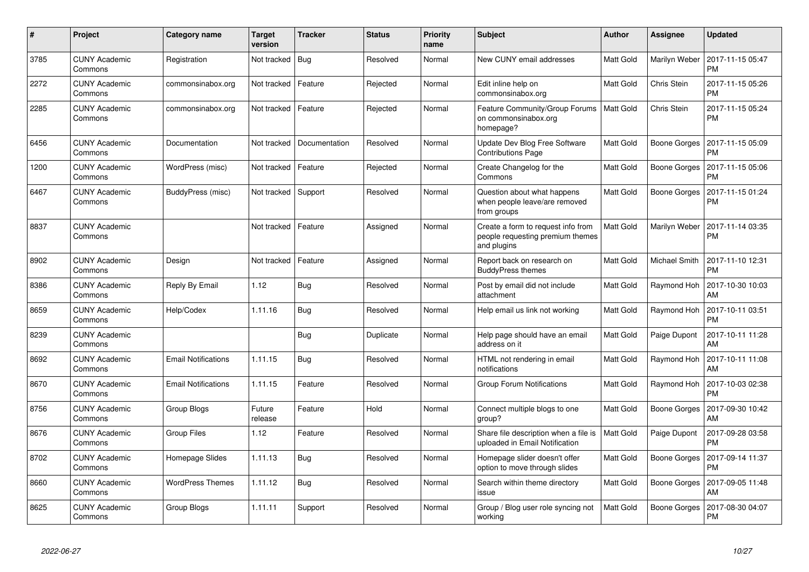| #    | Project                         | Category name              | <b>Target</b><br>version | <b>Tracker</b> | <b>Status</b> | <b>Priority</b><br>name | <b>Subject</b>                                                                        | <b>Author</b>    | <b>Assignee</b>      | <b>Updated</b>                |
|------|---------------------------------|----------------------------|--------------------------|----------------|---------------|-------------------------|---------------------------------------------------------------------------------------|------------------|----------------------|-------------------------------|
| 3785 | <b>CUNY Academic</b><br>Commons | Registration               | Not tracked              | Bug            | Resolved      | Normal                  | New CUNY email addresses                                                              | <b>Matt Gold</b> | Marilyn Weber        | 2017-11-15 05:47<br>PM        |
| 2272 | CUNY Academic<br>Commons        | commonsinabox.org          | Not tracked              | Feature        | Rejected      | Normal                  | Edit inline help on<br>commonsinabox.org                                              | <b>Matt Gold</b> | Chris Stein          | 2017-11-15 05:26<br><b>PM</b> |
| 2285 | <b>CUNY Academic</b><br>Commons | commonsinabox.org          | Not tracked              | Feature        | Rejected      | Normal                  | Feature Community/Group Forums<br>on commonsinabox.org<br>homepage?                   | <b>Matt Gold</b> | Chris Stein          | 2017-11-15 05:24<br><b>PM</b> |
| 6456 | <b>CUNY Academic</b><br>Commons | Documentation              | Not tracked              | Documentation  | Resolved      | Normal                  | Update Dev Blog Free Software<br><b>Contributions Page</b>                            | Matt Gold        | Boone Gorges         | 2017-11-15 05:09<br>PM        |
| 1200 | <b>CUNY Academic</b><br>Commons | WordPress (misc)           | Not tracked              | Feature        | Rejected      | Normal                  | Create Changelog for the<br>Commons                                                   | <b>Matt Gold</b> | Boone Gorges         | 2017-11-15 05:06<br>PM        |
| 6467 | <b>CUNY Academic</b><br>Commons | BuddyPress (misc)          | Not tracked Support      |                | Resolved      | Normal                  | Question about what happens<br>when people leave/are removed<br>from groups           | Matt Gold        | Boone Gorges         | 2017-11-15 01:24<br>PM        |
| 8837 | CUNY Academic<br>Commons        |                            | Not tracked              | Feature        | Assigned      | Normal                  | Create a form to request info from<br>people requesting premium themes<br>and plugins | <b>Matt Gold</b> | Marilyn Weber        | 2017-11-14 03:35<br>PM        |
| 8902 | <b>CUNY Academic</b><br>Commons | Design                     | Not tracked              | Feature        | Assigned      | Normal                  | Report back on research on<br><b>BuddyPress themes</b>                                | <b>Matt Gold</b> | <b>Michael Smith</b> | 2017-11-10 12:31<br><b>PM</b> |
| 8386 | <b>CUNY Academic</b><br>Commons | Reply By Email             | 1.12                     | Bug            | Resolved      | Normal                  | Post by email did not include<br>attachment                                           | Matt Gold        | Raymond Hoh          | 2017-10-30 10:03<br>AM        |
| 8659 | <b>CUNY Academic</b><br>Commons | Help/Codex                 | 1.11.16                  | Bug            | Resolved      | Normal                  | Help email us link not working                                                        | <b>Matt Gold</b> | Raymond Hoh          | 2017-10-11 03:51<br>PM        |
| 8239 | <b>CUNY Academic</b><br>Commons |                            |                          | Bug            | Duplicate     | Normal                  | Help page should have an email<br>address on it                                       | <b>Matt Gold</b> | Paige Dupont         | 2017-10-11 11:28<br>AM        |
| 8692 | <b>CUNY Academic</b><br>Commons | <b>Email Notifications</b> | 1.11.15                  | Bug            | Resolved      | Normal                  | HTML not rendering in email<br>notifications                                          | Matt Gold        | Raymond Hoh          | 2017-10-11 11:08<br>AM        |
| 8670 | <b>CUNY Academic</b><br>Commons | <b>Email Notifications</b> | 1.11.15                  | Feature        | Resolved      | Normal                  | Group Forum Notifications                                                             | Matt Gold        | Raymond Hoh          | 2017-10-03 02:38<br>PM        |
| 8756 | <b>CUNY Academic</b><br>Commons | Group Blogs                | Future<br>release        | Feature        | Hold          | Normal                  | Connect multiple blogs to one<br>group?                                               | Matt Gold        | <b>Boone Gorges</b>  | 2017-09-30 10:42<br>AM        |
| 8676 | <b>CUNY Academic</b><br>Commons | <b>Group Files</b>         | 1.12                     | Feature        | Resolved      | Normal                  | Share file description when a file is<br>uploaded in Email Notification               | <b>Matt Gold</b> | Paige Dupont         | 2017-09-28 03:58<br><b>PM</b> |
| 8702 | <b>CUNY Academic</b><br>Commons | Homepage Slides            | 1.11.13                  | Bug            | Resolved      | Normal                  | Homepage slider doesn't offer<br>option to move through slides                        | Matt Gold        | Boone Gorges         | 2017-09-14 11:37<br>PM        |
| 8660 | <b>CUNY Academic</b><br>Commons | <b>WordPress Themes</b>    | 1.11.12                  | Bug            | Resolved      | Normal                  | Search within theme directory<br>issue                                                | Matt Gold        | Boone Gorges         | 2017-09-05 11:48<br>AM        |
| 8625 | CUNY Academic<br>Commons        | Group Blogs                | 1.11.11                  | Support        | Resolved      | Normal                  | Group / Blog user role syncing not<br>working                                         | <b>Matt Gold</b> | Boone Gorges         | 2017-08-30 04:07<br>PM        |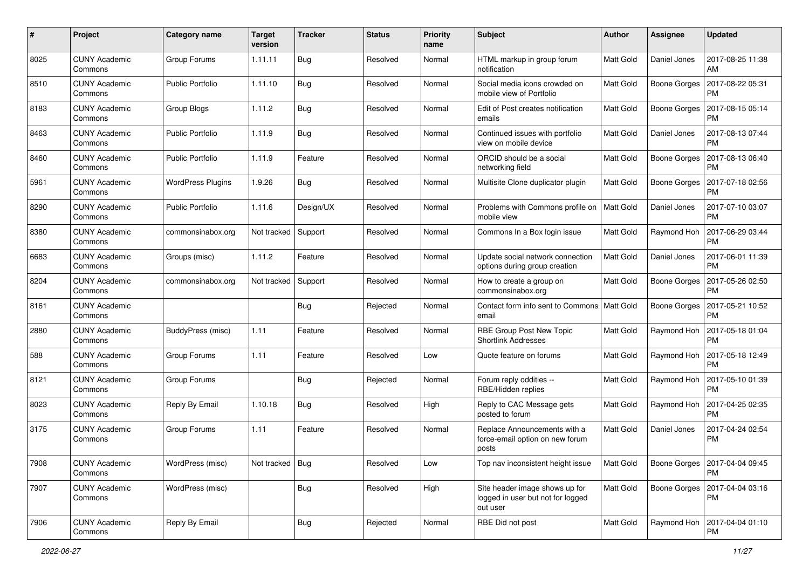| $\pmb{\#}$ | Project                         | <b>Category name</b>     | <b>Target</b><br>version | <b>Tracker</b> | <b>Status</b> | <b>Priority</b><br>name | Subject                                                                         | Author    | Assignee            | <b>Updated</b>                        |
|------------|---------------------------------|--------------------------|--------------------------|----------------|---------------|-------------------------|---------------------------------------------------------------------------------|-----------|---------------------|---------------------------------------|
| 8025       | <b>CUNY Academic</b><br>Commons | Group Forums             | 1.11.11                  | <b>Bug</b>     | Resolved      | Normal                  | HTML markup in group forum<br>notification                                      | Matt Gold | Daniel Jones        | 2017-08-25 11:38<br>AM                |
| 8510       | <b>CUNY Academic</b><br>Commons | <b>Public Portfolio</b>  | 1.11.10                  | Bug            | Resolved      | Normal                  | Social media icons crowded on<br>mobile view of Portfolio                       | Matt Gold | Boone Gorges        | 2017-08-22 05:31<br><b>PM</b>         |
| 8183       | <b>CUNY Academic</b><br>Commons | Group Blogs              | 1.11.2                   | Bug            | Resolved      | Normal                  | Edit of Post creates notification<br>emails                                     | Matt Gold | <b>Boone Gorges</b> | 2017-08-15 05:14<br><b>PM</b>         |
| 8463       | <b>CUNY Academic</b><br>Commons | <b>Public Portfolio</b>  | 1.11.9                   | Bug            | Resolved      | Normal                  | Continued issues with portfolio<br>view on mobile device                        | Matt Gold | Daniel Jones        | 2017-08-13 07:44<br><b>PM</b>         |
| 8460       | <b>CUNY Academic</b><br>Commons | <b>Public Portfolio</b>  | 1.11.9                   | Feature        | Resolved      | Normal                  | ORCID should be a social<br>networking field                                    | Matt Gold | Boone Gorges        | 2017-08-13 06:40<br><b>PM</b>         |
| 5961       | <b>CUNY Academic</b><br>Commons | <b>WordPress Plugins</b> | 1.9.26                   | Bug            | Resolved      | Normal                  | Multisite Clone duplicator plugin                                               | Matt Gold | Boone Gorges        | 2017-07-18 02:56<br><b>PM</b>         |
| 8290       | <b>CUNY Academic</b><br>Commons | <b>Public Portfolio</b>  | 1.11.6                   | Design/UX      | Resolved      | Normal                  | Problems with Commons profile on<br>mobile view                                 | Matt Gold | Daniel Jones        | 2017-07-10 03:07<br><b>PM</b>         |
| 8380       | <b>CUNY Academic</b><br>Commons | commonsinabox.org        | Not tracked              | Support        | Resolved      | Normal                  | Commons In a Box login issue                                                    | Matt Gold | Raymond Hoh         | 2017-06-29 03:44<br><b>PM</b>         |
| 6683       | <b>CUNY Academic</b><br>Commons | Groups (misc)            | 1.11.2                   | Feature        | Resolved      | Normal                  | Update social network connection<br>options during group creation               | Matt Gold | Daniel Jones        | 2017-06-01 11:39<br><b>PM</b>         |
| 8204       | <b>CUNY Academic</b><br>Commons | commonsinabox.org        | Not tracked              | Support        | Resolved      | Normal                  | How to create a group on<br>commonsinabox.org                                   | Matt Gold | <b>Boone Gorges</b> | 2017-05-26 02:50<br><b>PM</b>         |
| 8161       | <b>CUNY Academic</b><br>Commons |                          |                          | Bug            | Rejected      | Normal                  | Contact form info sent to Commons   Matt Gold<br>email                          |           | <b>Boone Gorges</b> | 2017-05-21 10:52<br><b>PM</b>         |
| 2880       | <b>CUNY Academic</b><br>Commons | BuddyPress (misc)        | 1.11                     | Feature        | Resolved      | Normal                  | RBE Group Post New Topic<br><b>Shortlink Addresses</b>                          | Matt Gold | Raymond Hoh         | 2017-05-18 01:04<br><b>PM</b>         |
| 588        | <b>CUNY Academic</b><br>Commons | Group Forums             | 1.11                     | Feature        | Resolved      | Low                     | Quote feature on forums                                                         | Matt Gold | Raymond Hoh         | 2017-05-18 12:49<br><b>PM</b>         |
| 8121       | <b>CUNY Academic</b><br>Commons | Group Forums             |                          | Bug            | Rejected      | Normal                  | Forum reply oddities --<br>RBE/Hidden replies                                   | Matt Gold | Raymond Hoh         | 2017-05-10 01:39<br><b>PM</b>         |
| 8023       | <b>CUNY Academic</b><br>Commons | Reply By Email           | 1.10.18                  | Bug            | Resolved      | High                    | Reply to CAC Message gets<br>posted to forum                                    | Matt Gold | Raymond Hoh         | 2017-04-25 02:35<br>PM                |
| 3175       | <b>CUNY Academic</b><br>Commons | Group Forums             | 1.11                     | Feature        | Resolved      | Normal                  | Replace Announcements with a<br>force-email option on new forum<br>posts        | Matt Gold | Daniel Jones        | 2017-04-24 02:54<br>PM                |
| 7908       | <b>CUNY Academic</b><br>Commons | WordPress (misc)         | Not tracked   Bug        |                | Resolved      | Low                     | Top nav inconsistent height issue                                               | Matt Gold |                     | Boone Gorges   2017-04-04 09:45<br>PM |
| 7907       | <b>CUNY Academic</b><br>Commons | WordPress (misc)         |                          | <b>Bug</b>     | Resolved      | High                    | Site header image shows up for<br>logged in user but not for logged<br>out user | Matt Gold | Boone Gorges        | 2017-04-04 03:16<br><b>PM</b>         |
| 7906       | <b>CUNY Academic</b><br>Commons | Reply By Email           |                          | <b>Bug</b>     | Rejected      | Normal                  | RBE Did not post                                                                | Matt Gold | Raymond Hoh         | 2017-04-04 01:10<br>PM                |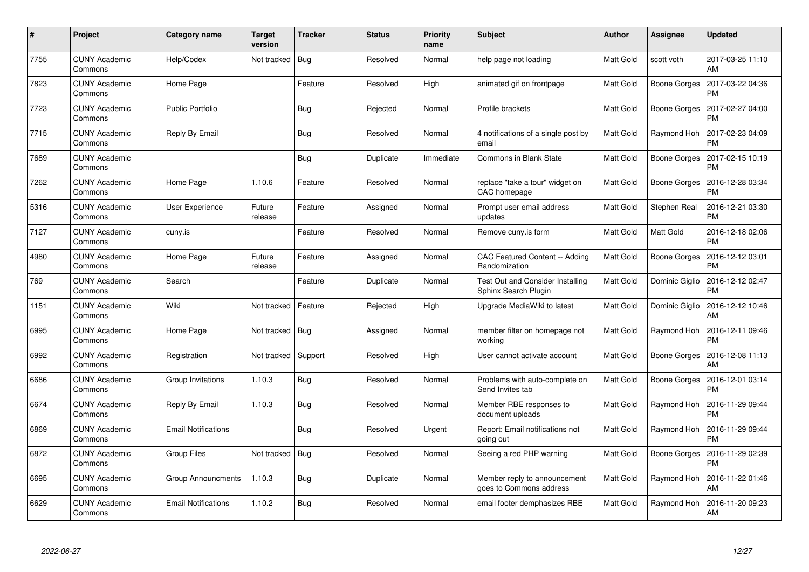| #    | Project                         | <b>Category name</b>       | <b>Target</b><br>version | <b>Tracker</b> | <b>Status</b> | <b>Priority</b><br>name | <b>Subject</b>                                                  | Author    | <b>Assignee</b>     | <b>Updated</b>                |
|------|---------------------------------|----------------------------|--------------------------|----------------|---------------|-------------------------|-----------------------------------------------------------------|-----------|---------------------|-------------------------------|
| 7755 | <b>CUNY Academic</b><br>Commons | Help/Codex                 | Not tracked              | <b>Bug</b>     | Resolved      | Normal                  | help page not loading                                           | Matt Gold | scott voth          | 2017-03-25 11:10<br>AM        |
| 7823 | <b>CUNY Academic</b><br>Commons | Home Page                  |                          | Feature        | Resolved      | High                    | animated gif on frontpage                                       | Matt Gold | Boone Gorges        | 2017-03-22 04:36<br>PM        |
| 7723 | <b>CUNY Academic</b><br>Commons | <b>Public Portfolio</b>    |                          | <b>Bug</b>     | Rejected      | Normal                  | Profile brackets                                                | Matt Gold | <b>Boone Gorges</b> | 2017-02-27 04:00<br><b>PM</b> |
| 7715 | <b>CUNY Academic</b><br>Commons | Reply By Email             |                          | Bug            | Resolved      | Normal                  | 4 notifications of a single post by<br>email                    | Matt Gold | Raymond Hoh         | 2017-02-23 04:09<br><b>PM</b> |
| 7689 | <b>CUNY Academic</b><br>Commons |                            |                          | Bug            | Duplicate     | Immediate               | <b>Commons in Blank State</b>                                   | Matt Gold | Boone Gorges        | 2017-02-15 10:19<br><b>PM</b> |
| 7262 | <b>CUNY Academic</b><br>Commons | Home Page                  | 1.10.6                   | Feature        | Resolved      | Normal                  | replace "take a tour" widget on<br>CAC homepage                 | Matt Gold | Boone Gorges        | 2016-12-28 03:34<br><b>PM</b> |
| 5316 | <b>CUNY Academic</b><br>Commons | <b>User Experience</b>     | Future<br>release        | Feature        | Assigned      | Normal                  | Prompt user email address<br>updates                            | Matt Gold | Stephen Real        | 2016-12-21 03:30<br><b>PM</b> |
| 7127 | <b>CUNY Academic</b><br>Commons | cuny.is                    |                          | Feature        | Resolved      | Normal                  | Remove cuny.is form                                             | Matt Gold | Matt Gold           | 2016-12-18 02:06<br><b>PM</b> |
| 4980 | <b>CUNY Academic</b><br>Commons | Home Page                  | Future<br>release        | Feature        | Assigned      | Normal                  | <b>CAC Featured Content -- Adding</b><br>Randomization          | Matt Gold | Boone Gorges        | 2016-12-12 03:01<br><b>PM</b> |
| 769  | <b>CUNY Academic</b><br>Commons | Search                     |                          | Feature        | Duplicate     | Normal                  | <b>Test Out and Consider Installing</b><br>Sphinx Search Plugin | Matt Gold | Dominic Giglio      | 2016-12-12 02:47<br><b>PM</b> |
| 1151 | <b>CUNY Academic</b><br>Commons | Wiki                       | Not tracked              | Feature        | Rejected      | High                    | Upgrade MediaWiki to latest                                     | Matt Gold | Dominic Giglio      | 2016-12-12 10:46<br>AM        |
| 6995 | <b>CUNY Academic</b><br>Commons | Home Page                  | Not tracked              | Bug            | Assigned      | Normal                  | member filter on homepage not<br>working                        | Matt Gold | Raymond Hoh         | 2016-12-11 09:46<br><b>PM</b> |
| 6992 | <b>CUNY Academic</b><br>Commons | Registration               | Not tracked              | Support        | Resolved      | High                    | User cannot activate account                                    | Matt Gold | Boone Gorges        | 2016-12-08 11:13<br>AM        |
| 6686 | <b>CUNY Academic</b><br>Commons | Group Invitations          | 1.10.3                   | <b>Bug</b>     | Resolved      | Normal                  | Problems with auto-complete on<br>Send Invites tab              | Matt Gold | Boone Gorges        | 2016-12-01 03:14<br><b>PM</b> |
| 6674 | <b>CUNY Academic</b><br>Commons | Reply By Email             | 1.10.3                   | <b>Bug</b>     | Resolved      | Normal                  | Member RBE responses to<br>document uploads                     | Matt Gold | Raymond Hoh         | 2016-11-29 09:44<br><b>PM</b> |
| 6869 | <b>CUNY Academic</b><br>Commons | <b>Email Notifications</b> |                          | Bug            | Resolved      | Urgent                  | Report: Email notifications not<br>going out                    | Matt Gold | Raymond Hoh         | 2016-11-29 09:44<br><b>PM</b> |
| 6872 | <b>CUNY Academic</b><br>Commons | Group Files                | Not tracked              | Bug            | Resolved      | Normal                  | Seeing a red PHP warning                                        | Matt Gold | Boone Gorges        | 2016-11-29 02:39<br><b>PM</b> |
| 6695 | <b>CUNY Academic</b><br>Commons | <b>Group Announcments</b>  | 1.10.3                   | <b>Bug</b>     | Duplicate     | Normal                  | Member reply to announcement<br>goes to Commons address         | Matt Gold | Raymond Hoh         | 2016-11-22 01:46<br>AM        |
| 6629 | <b>CUNY Academic</b><br>Commons | <b>Email Notifications</b> | 1.10.2                   | <b>Bug</b>     | Resolved      | Normal                  | email footer demphasizes RBE                                    | Matt Gold | Raymond Hoh         | 2016-11-20 09:23<br>AM        |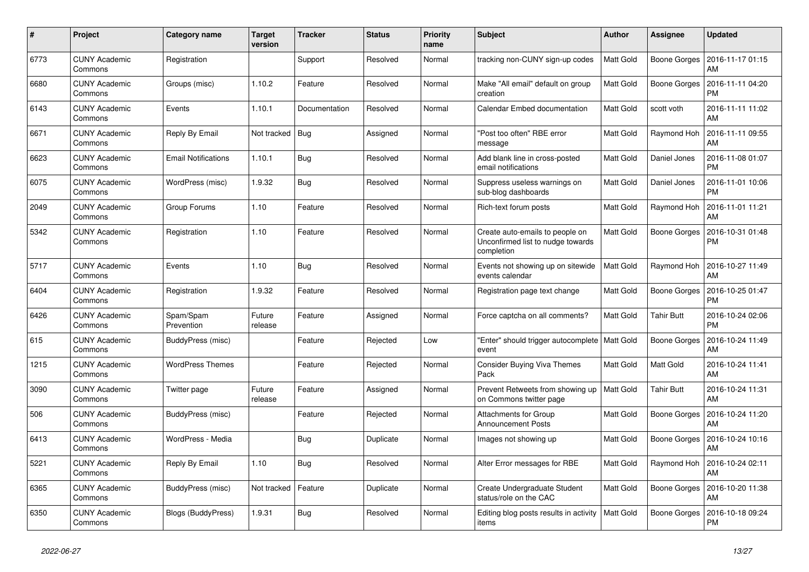| #    | Project                         | <b>Category name</b>       | <b>Target</b><br>version | <b>Tracker</b> | <b>Status</b> | <b>Priority</b><br>name | <b>Subject</b>                                                                     | <b>Author</b>    | Assignee            | <b>Updated</b>                |
|------|---------------------------------|----------------------------|--------------------------|----------------|---------------|-------------------------|------------------------------------------------------------------------------------|------------------|---------------------|-------------------------------|
| 6773 | <b>CUNY Academic</b><br>Commons | Registration               |                          | Support        | Resolved      | Normal                  | tracking non-CUNY sign-up codes                                                    | Matt Gold        | Boone Gorges        | 2016-11-17 01:15<br>AM        |
| 6680 | <b>CUNY Academic</b><br>Commons | Groups (misc)              | 1.10.2                   | Feature        | Resolved      | Normal                  | Make "All email" default on group<br>creation                                      | Matt Gold        | <b>Boone Gorges</b> | 2016-11-11 04:20<br>РM        |
| 6143 | <b>CUNY Academic</b><br>Commons | Events                     | 1.10.1                   | Documentation  | Resolved      | Normal                  | Calendar Embed documentation                                                       | Matt Gold        | scott voth          | 2016-11-11 11:02<br>AM        |
| 6671 | <b>CUNY Academic</b><br>Commons | Reply By Email             | Not tracked              | <b>Bug</b>     | Assigned      | Normal                  | "Post too often" RBE error<br>message                                              | Matt Gold        | Raymond Hoh         | 2016-11-11 09:55<br>AM        |
| 6623 | <b>CUNY Academic</b><br>Commons | <b>Email Notifications</b> | 1.10.1                   | <b>Bug</b>     | Resolved      | Normal                  | Add blank line in cross-posted<br>email notifications                              | Matt Gold        | Daniel Jones        | 2016-11-08 01:07<br><b>PM</b> |
| 6075 | <b>CUNY Academic</b><br>Commons | WordPress (misc)           | 1.9.32                   | <b>Bug</b>     | Resolved      | Normal                  | Suppress useless warnings on<br>sub-blog dashboards                                | Matt Gold        | Daniel Jones        | 2016-11-01 10:06<br><b>PM</b> |
| 2049 | <b>CUNY Academic</b><br>Commons | Group Forums               | 1.10                     | Feature        | Resolved      | Normal                  | Rich-text forum posts                                                              | Matt Gold        | Raymond Hoh         | 2016-11-01 11:21<br>AM        |
| 5342 | <b>CUNY Academic</b><br>Commons | Registration               | 1.10                     | Feature        | Resolved      | Normal                  | Create auto-emails to people on<br>Unconfirmed list to nudge towards<br>completion | Matt Gold        | Boone Gorges        | 2016-10-31 01:48<br>РM        |
| 5717 | <b>CUNY Academic</b><br>Commons | Events                     | 1.10                     | Bug            | Resolved      | Normal                  | Events not showing up on sitewide<br>events calendar                               | Matt Gold        | Raymond Hoh         | 2016-10-27 11:49<br>AM        |
| 6404 | <b>CUNY Academic</b><br>Commons | Registration               | 1.9.32                   | Feature        | Resolved      | Normal                  | Registration page text change                                                      | Matt Gold        | <b>Boone Gorges</b> | 2016-10-25 01:47<br><b>PM</b> |
| 6426 | <b>CUNY Academic</b><br>Commons | Spam/Spam<br>Prevention    | Future<br>release        | Feature        | Assigned      | Normal                  | Force captcha on all comments?                                                     | Matt Gold        | <b>Tahir Butt</b>   | 2016-10-24 02:06<br><b>PM</b> |
| 615  | <b>CUNY Academic</b><br>Commons | BuddyPress (misc)          |                          | Feature        | Rejected      | Low                     | "Enter" should trigger autocomplete   Matt Gold<br>event                           |                  | Boone Gorges        | 2016-10-24 11:49<br>AM        |
| 1215 | <b>CUNY Academic</b><br>Commons | <b>WordPress Themes</b>    |                          | Feature        | Rejected      | Normal                  | <b>Consider Buying Viva Themes</b><br>Pack                                         | Matt Gold        | Matt Gold           | 2016-10-24 11:41<br><b>AM</b> |
| 3090 | <b>CUNY Academic</b><br>Commons | Twitter page               | Future<br>release        | Feature        | Assigned      | Normal                  | Prevent Retweets from showing up<br>on Commons twitter page                        | <b>Matt Gold</b> | <b>Tahir Butt</b>   | 2016-10-24 11:31<br>AM        |
| 506  | <b>CUNY Academic</b><br>Commons | BuddyPress (misc)          |                          | Feature        | Rejected      | Normal                  | <b>Attachments for Group</b><br><b>Announcement Posts</b>                          | Matt Gold        | Boone Gorges        | 2016-10-24 11:20<br>AM        |
| 6413 | <b>CUNY Academic</b><br>Commons | WordPress - Media          |                          | <b>Bug</b>     | Duplicate     | Normal                  | Images not showing up                                                              | Matt Gold        | Boone Gorges        | 2016-10-24 10:16<br><b>AM</b> |
| 5221 | <b>CUNY Academic</b><br>Commons | Reply By Email             | 1.10                     | Bug            | Resolved      | Normal                  | Alter Error messages for RBE                                                       | Matt Gold        | Raymond Hoh         | 2016-10-24 02:11<br>AM        |
| 6365 | <b>CUNY Academic</b><br>Commons | BuddyPress (misc)          | Not tracked              | Feature        | Duplicate     | Normal                  | Create Undergraduate Student<br>status/role on the CAC                             | Matt Gold        | Boone Gorges        | 2016-10-20 11:38<br>AM        |
| 6350 | <b>CUNY Academic</b><br>Commons | Blogs (BuddyPress)         | 1.9.31                   | <b>Bug</b>     | Resolved      | Normal                  | Editing blog posts results in activity<br>items                                    | Matt Gold        | Boone Gorges        | 2016-10-18 09:24<br><b>PM</b> |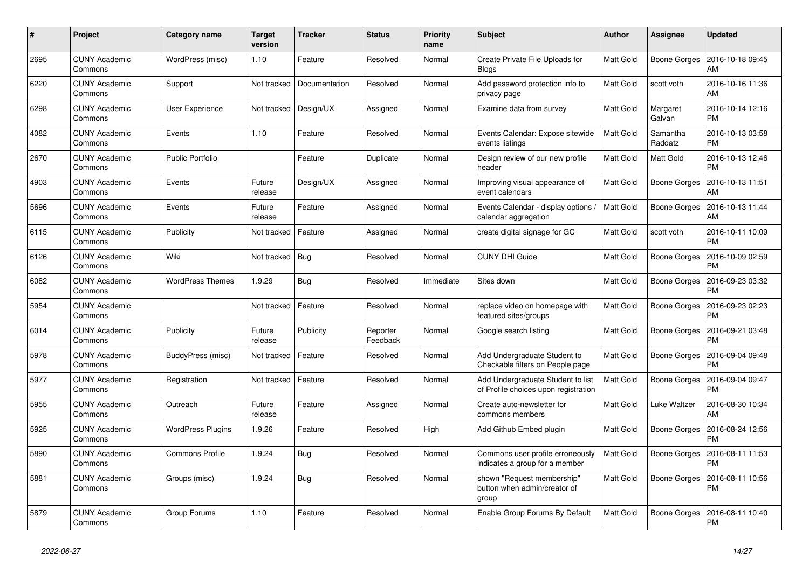| #    | Project                         | <b>Category name</b>     | <b>Target</b><br>version | <b>Tracker</b> | <b>Status</b>        | Priority<br>name | <b>Subject</b>                                                            | Author           | <b>Assignee</b>     | <b>Updated</b>                |
|------|---------------------------------|--------------------------|--------------------------|----------------|----------------------|------------------|---------------------------------------------------------------------------|------------------|---------------------|-------------------------------|
| 2695 | <b>CUNY Academic</b><br>Commons | WordPress (misc)         | 1.10                     | Feature        | Resolved             | Normal           | Create Private File Uploads for<br><b>Blogs</b>                           | Matt Gold        | Boone Gorges        | 2016-10-18 09:45<br>AM        |
| 6220 | <b>CUNY Academic</b><br>Commons | Support                  | Not tracked              | Documentation  | Resolved             | Normal           | Add password protection info to<br>privacy page                           | Matt Gold        | scott voth          | 2016-10-16 11:36<br>AM        |
| 6298 | <b>CUNY Academic</b><br>Commons | <b>User Experience</b>   | Not tracked              | Design/UX      | Assigned             | Normal           | Examine data from survey                                                  | Matt Gold        | Margaret<br>Galvan  | 2016-10-14 12:16<br><b>PM</b> |
| 4082 | <b>CUNY Academic</b><br>Commons | Events                   | 1.10                     | Feature        | Resolved             | Normal           | Events Calendar: Expose sitewide<br>events listings                       | Matt Gold        | Samantha<br>Raddatz | 2016-10-13 03:58<br><b>PM</b> |
| 2670 | <b>CUNY Academic</b><br>Commons | <b>Public Portfolio</b>  |                          | Feature        | Duplicate            | Normal           | Design review of our new profile<br>header                                | Matt Gold        | Matt Gold           | 2016-10-13 12:46<br><b>PM</b> |
| 4903 | <b>CUNY Academic</b><br>Commons | Events                   | Future<br>release        | Design/UX      | Assigned             | Normal           | Improving visual appearance of<br>event calendars                         | Matt Gold        | <b>Boone Gorges</b> | 2016-10-13 11:51<br>AM        |
| 5696 | <b>CUNY Academic</b><br>Commons | Events                   | Future<br>release        | Feature        | Assigned             | Normal           | Events Calendar - display options /<br>calendar aggregation               | <b>Matt Gold</b> | Boone Gorges        | 2016-10-13 11:44<br><b>AM</b> |
| 6115 | <b>CUNY Academic</b><br>Commons | Publicity                | Not tracked              | Feature        | Assigned             | Normal           | create digital signage for GC                                             | Matt Gold        | scott voth          | 2016-10-11 10:09<br><b>PM</b> |
| 6126 | <b>CUNY Academic</b><br>Commons | Wiki                     | Not tracked              | <b>Bug</b>     | Resolved             | Normal           | <b>CUNY DHI Guide</b>                                                     | Matt Gold        | Boone Gorges        | 2016-10-09 02:59<br><b>PM</b> |
| 6082 | <b>CUNY Academic</b><br>Commons | <b>WordPress Themes</b>  | 1.9.29                   | <b>Bug</b>     | Resolved             | Immediate        | Sites down                                                                | Matt Gold        | Boone Gorges        | 2016-09-23 03:32<br>PM        |
| 5954 | <b>CUNY Academic</b><br>Commons |                          | Not tracked              | Feature        | Resolved             | Normal           | replace video on homepage with<br>featured sites/groups                   | Matt Gold        | Boone Gorges        | 2016-09-23 02:23<br>PM        |
| 6014 | <b>CUNY Academic</b><br>Commons | Publicity                | Future<br>release        | Publicity      | Reporter<br>Feedback | Normal           | Google search listing                                                     | Matt Gold        | Boone Gorges        | 2016-09-21 03:48<br><b>PM</b> |
| 5978 | <b>CUNY Academic</b><br>Commons | BuddyPress (misc)        | Not tracked              | Feature        | Resolved             | Normal           | Add Undergraduate Student to<br>Checkable filters on People page          | Matt Gold        | Boone Gorges        | 2016-09-04 09:48<br><b>PM</b> |
| 5977 | <b>CUNY Academic</b><br>Commons | Registration             | Not tracked              | Feature        | Resolved             | Normal           | Add Undergraduate Student to list<br>of Profile choices upon registration | Matt Gold        | Boone Gorges        | 2016-09-04 09:47<br><b>PM</b> |
| 5955 | <b>CUNY Academic</b><br>Commons | Outreach                 | Future<br>release        | Feature        | Assigned             | Normal           | Create auto-newsletter for<br>commons members                             | Matt Gold        | Luke Waltzer        | 2016-08-30 10:34<br>AM        |
| 5925 | <b>CUNY Academic</b><br>Commons | <b>WordPress Plugins</b> | 1.9.26                   | Feature        | Resolved             | High             | Add Github Embed plugin                                                   | Matt Gold        | Boone Gorges        | 2016-08-24 12:56<br>РM        |
| 5890 | <b>CUNY Academic</b><br>Commons | <b>Commons Profile</b>   | 1.9.24                   | Bug            | Resolved             | Normal           | Commons user profile erroneously<br>indicates a group for a member        | <b>Matt Gold</b> | Boone Gorges        | 2016-08-11 11:53<br><b>PM</b> |
| 5881 | <b>CUNY Academic</b><br>Commons | Groups (misc)            | 1.9.24                   | Bug            | Resolved             | Normal           | shown "Request membership"<br>button when admin/creator of<br>group       | Matt Gold        | <b>Boone Gorges</b> | 2016-08-11 10:56<br>PM        |
| 5879 | <b>CUNY Academic</b><br>Commons | Group Forums             | 1.10                     | Feature        | Resolved             | Normal           | Enable Group Forums By Default                                            | Matt Gold        | Boone Gorges        | 2016-08-11 10:40<br><b>PM</b> |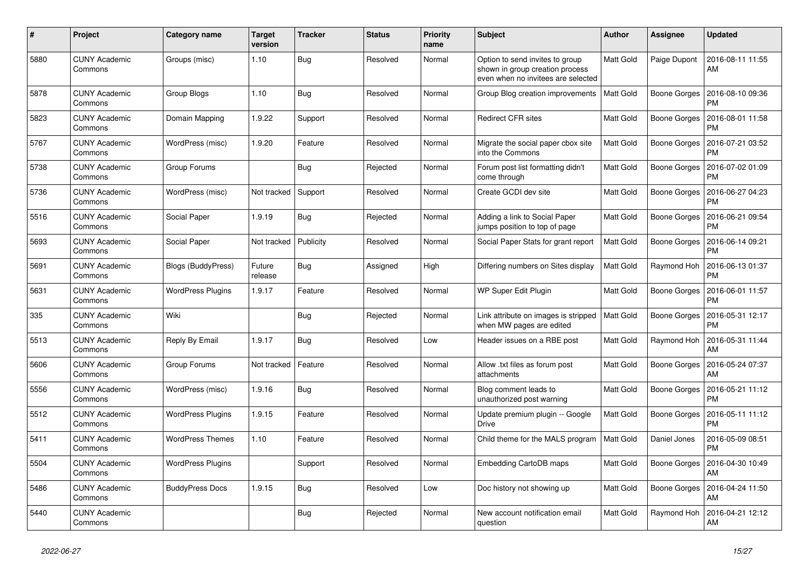| #    | Project                         | Category name             | <b>Target</b><br>version | <b>Tracker</b> | <b>Status</b> | <b>Priority</b><br>name | <b>Subject</b>                                                                                           | <b>Author</b>    | <b>Assignee</b>     | <b>Updated</b>                |
|------|---------------------------------|---------------------------|--------------------------|----------------|---------------|-------------------------|----------------------------------------------------------------------------------------------------------|------------------|---------------------|-------------------------------|
| 5880 | <b>CUNY Academic</b><br>Commons | Groups (misc)             | 1.10                     | Bug            | Resolved      | Normal                  | Option to send invites to group<br>shown in group creation process<br>even when no invitees are selected | <b>Matt Gold</b> | Paige Dupont        | 2016-08-11 11:55<br>AM        |
| 5878 | <b>CUNY Academic</b><br>Commons | Group Blogs               | 1.10                     | <b>Bug</b>     | Resolved      | Normal                  | Group Blog creation improvements                                                                         | <b>Matt Gold</b> | Boone Gorges        | 2016-08-10 09:36<br>PM        |
| 5823 | <b>CUNY Academic</b><br>Commons | Domain Mapping            | 1.9.22                   | Support        | Resolved      | Normal                  | <b>Redirect CFR sites</b>                                                                                | <b>Matt Gold</b> | Boone Gorges        | 2016-08-01 11:58<br>PM        |
| 5767 | <b>CUNY Academic</b><br>Commons | WordPress (misc)          | 1.9.20                   | Feature        | Resolved      | Normal                  | Migrate the social paper cbox site<br>into the Commons                                                   | Matt Gold        | <b>Boone Gorges</b> | 2016-07-21 03:52<br><b>PM</b> |
| 5738 | <b>CUNY Academic</b><br>Commons | Group Forums              |                          | Bug            | Rejected      | Normal                  | Forum post list formatting didn't<br>come through                                                        | Matt Gold        | Boone Gorges        | 2016-07-02 01:09<br><b>PM</b> |
| 5736 | <b>CUNY Academic</b><br>Commons | WordPress (misc)          | Not tracked              | Support        | Resolved      | Normal                  | Create GCDI dev site                                                                                     | <b>Matt Gold</b> | <b>Boone Gorges</b> | 2016-06-27 04:23<br><b>PM</b> |
| 5516 | <b>CUNY Academic</b><br>Commons | Social Paper              | 1.9.19                   | Bug            | Rejected      | Normal                  | Adding a link to Social Paper<br>jumps position to top of page                                           | <b>Matt Gold</b> | <b>Boone Gorges</b> | 2016-06-21 09:54<br>PM        |
| 5693 | <b>CUNY Academic</b><br>Commons | Social Paper              | Not tracked              | Publicity      | Resolved      | Normal                  | Social Paper Stats for grant report                                                                      | Matt Gold        | Boone Gorges        | 2016-06-14 09:21<br>PM        |
| 5691 | <b>CUNY Academic</b><br>Commons | <b>Blogs (BuddyPress)</b> | Future<br>release        | <b>Bug</b>     | Assigned      | High                    | Differing numbers on Sites display                                                                       | <b>Matt Gold</b> | Raymond Hoh         | 2016-06-13 01:37<br>PM        |
| 5631 | <b>CUNY Academic</b><br>Commons | <b>WordPress Plugins</b>  | 1.9.17                   | Feature        | Resolved      | Normal                  | WP Super Edit Plugin                                                                                     | <b>Matt Gold</b> | Boone Gorges        | 2016-06-01 11:57<br>PM        |
| 335  | <b>CUNY Academic</b><br>Commons | Wiki                      |                          | <b>Bug</b>     | Rejected      | Normal                  | Link attribute on images is stripped<br>when MW pages are edited                                         | <b>Matt Gold</b> | Boone Gorges        | 2016-05-31 12:17<br><b>PM</b> |
| 5513 | <b>CUNY Academic</b><br>Commons | Reply By Email            | 1.9.17                   | <b>Bug</b>     | Resolved      | Low                     | Header issues on a RBE post                                                                              | <b>Matt Gold</b> | Raymond Hoh         | 2016-05-31 11:44<br>AM        |
| 5606 | <b>CUNY Academic</b><br>Commons | Group Forums              | Not tracked              | Feature        | Resolved      | Normal                  | Allow .txt files as forum post<br>attachments                                                            | <b>Matt Gold</b> | Boone Gorges        | 2016-05-24 07:37<br>AM        |
| 5556 | <b>CUNY Academic</b><br>Commons | WordPress (misc)          | 1.9.16                   | Bug            | Resolved      | Normal                  | Blog comment leads to<br>unauthorized post warning                                                       | Matt Gold        | Boone Gorges        | 2016-05-21 11:12<br><b>PM</b> |
| 5512 | <b>CUNY Academic</b><br>Commons | <b>WordPress Plugins</b>  | 1.9.15                   | Feature        | Resolved      | Normal                  | Update premium plugin -- Google<br><b>Drive</b>                                                          | <b>Matt Gold</b> | Boone Gorges        | 2016-05-11 11:12<br><b>PM</b> |
| 5411 | <b>CUNY Academic</b><br>Commons | <b>WordPress Themes</b>   | 1.10                     | Feature        | Resolved      | Normal                  | Child theme for the MALS program                                                                         | <b>Matt Gold</b> | Daniel Jones        | 2016-05-09 08:51<br>PM        |
| 5504 | <b>CUNY Academic</b><br>Commons | <b>WordPress Plugins</b>  |                          | Support        | Resolved      | Normal                  | Embedding CartoDB maps                                                                                   | Matt Gold        | Boone Gorges        | 2016-04-30 10:49<br>AM        |
| 5486 | <b>CUNY Academic</b><br>Commons | <b>BuddyPress Docs</b>    | 1.9.15                   | <b>Bug</b>     | Resolved      | Low                     | Doc history not showing up                                                                               | <b>Matt Gold</b> | Boone Gorges        | 2016-04-24 11:50<br>AM        |
| 5440 | <b>CUNY Academic</b><br>Commons |                           |                          | Bug            | Rejected      | Normal                  | New account notification email<br>question                                                               | Matt Gold        | Raymond Hoh         | 2016-04-21 12:12<br>AM        |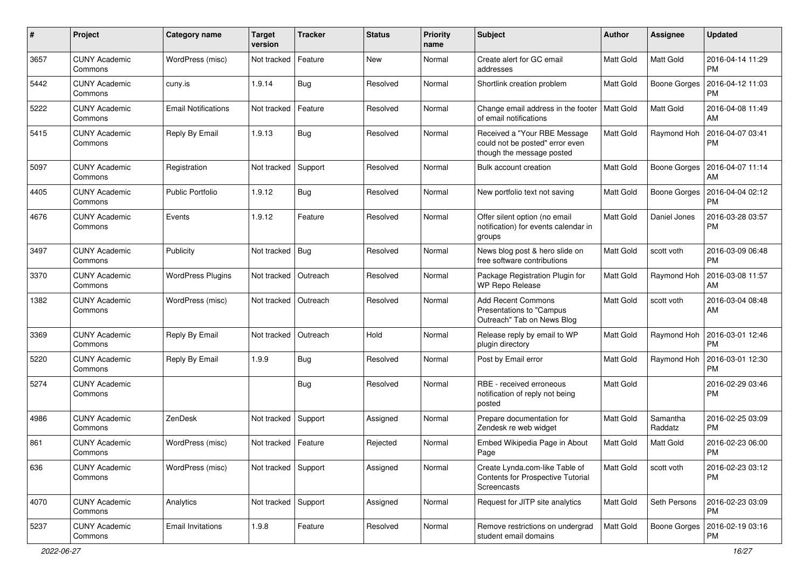| #    | Project                         | <b>Category name</b>       | <b>Target</b><br>version | <b>Tracker</b> | <b>Status</b> | <b>Priority</b><br>name | Subject                                                                                      | <b>Author</b> | <b>Assignee</b>     | <b>Updated</b>                |
|------|---------------------------------|----------------------------|--------------------------|----------------|---------------|-------------------------|----------------------------------------------------------------------------------------------|---------------|---------------------|-------------------------------|
| 3657 | <b>CUNY Academic</b><br>Commons | WordPress (misc)           | Not tracked              | Feature        | New           | Normal                  | Create alert for GC email<br>addresses                                                       | Matt Gold     | Matt Gold           | 2016-04-14 11:29<br><b>PM</b> |
| 5442 | <b>CUNY Academic</b><br>Commons | cuny.is                    | 1.9.14                   | Bug            | Resolved      | Normal                  | Shortlink creation problem                                                                   | Matt Gold     | Boone Gorges        | 2016-04-12 11:03<br><b>PM</b> |
| 5222 | <b>CUNY Academic</b><br>Commons | <b>Email Notifications</b> | Not tracked              | Feature        | Resolved      | Normal                  | Change email address in the footer<br>of email notifications                                 | Matt Gold     | <b>Matt Gold</b>    | 2016-04-08 11:49<br>AM        |
| 5415 | <b>CUNY Academic</b><br>Commons | Reply By Email             | 1.9.13                   | Bug            | Resolved      | Normal                  | Received a "Your RBE Message<br>could not be posted" error even<br>though the message posted | Matt Gold     | Raymond Hoh         | 2016-04-07 03:41<br><b>PM</b> |
| 5097 | <b>CUNY Academic</b><br>Commons | Registration               | Not tracked              | Support        | Resolved      | Normal                  | Bulk account creation                                                                        | Matt Gold     | <b>Boone Gorges</b> | 2016-04-07 11:14<br>AM        |
| 4405 | <b>CUNY Academic</b><br>Commons | Public Portfolio           | 1.9.12                   | Bug            | Resolved      | Normal                  | New portfolio text not saving                                                                | Matt Gold     | Boone Gorges        | 2016-04-04 02:12<br><b>PM</b> |
| 4676 | <b>CUNY Academic</b><br>Commons | Events                     | 1.9.12                   | Feature        | Resolved      | Normal                  | Offer silent option (no email<br>notification) for events calendar in<br>groups              | Matt Gold     | Daniel Jones        | 2016-03-28 03:57<br><b>PM</b> |
| 3497 | <b>CUNY Academic</b><br>Commons | Publicity                  | Not tracked   Bug        |                | Resolved      | Normal                  | News blog post & hero slide on<br>free software contributions                                | Matt Gold     | scott voth          | 2016-03-09 06:48<br><b>PM</b> |
| 3370 | <b>CUNY Academic</b><br>Commons | <b>WordPress Plugins</b>   | Not tracked              | Outreach       | Resolved      | Normal                  | Package Registration Plugin for<br>WP Repo Release                                           | Matt Gold     | Raymond Hoh         | 2016-03-08 11:57<br>AM        |
| 1382 | <b>CUNY Academic</b><br>Commons | WordPress (misc)           | Not tracked              | Outreach       | Resolved      | Normal                  | <b>Add Recent Commons</b><br>Presentations to "Campus<br>Outreach" Tab on News Blog          | Matt Gold     | scott voth          | 2016-03-04 08:48<br>AM        |
| 3369 | <b>CUNY Academic</b><br>Commons | Reply By Email             | Not tracked              | Outreach       | Hold          | Normal                  | Release reply by email to WP<br>plugin directory                                             | Matt Gold     | Raymond Hoh         | 2016-03-01 12:46<br><b>PM</b> |
| 5220 | <b>CUNY Academic</b><br>Commons | Reply By Email             | 1.9.9                    | Bug            | Resolved      | Normal                  | Post by Email error                                                                          | Matt Gold     | Raymond Hoh         | 2016-03-01 12:30<br><b>PM</b> |
| 5274 | <b>CUNY Academic</b><br>Commons |                            |                          | Bug            | Resolved      | Normal                  | RBE - received erroneous<br>notification of reply not being<br>posted                        | Matt Gold     |                     | 2016-02-29 03:46<br><b>PM</b> |
| 4986 | <b>CUNY Academic</b><br>Commons | ZenDesk                    | Not tracked              | Support        | Assigned      | Normal                  | Prepare documentation for<br>Zendesk re web widget                                           | Matt Gold     | Samantha<br>Raddatz | 2016-02-25 03:09<br><b>PM</b> |
| 861  | <b>CUNY Academic</b><br>Commons | WordPress (misc)           | Not tracked              | Feature        | Rejected      | Normal                  | Embed Wikipedia Page in About<br>Page                                                        | Matt Gold     | Matt Gold           | 2016-02-23 06:00<br><b>PM</b> |
| 636  | <b>CUNY Academic</b><br>Commons | WordPress (misc)           | Not tracked Support      |                | Assigned      | Normal                  | Create Lynda.com-like Table of<br>Contents for Prospective Tutorial<br>Screencasts           | Matt Gold     | scott voth          | 2016-02-23 03:12<br><b>PM</b> |
| 4070 | <b>CUNY Academic</b><br>Commons | Analytics                  | Not tracked              | Support        | Assigned      | Normal                  | Request for JITP site analytics                                                              | Matt Gold     | Seth Persons        | 2016-02-23 03:09<br>PM        |
| 5237 | <b>CUNY Academic</b><br>Commons | <b>Email Invitations</b>   | 1.9.8                    | Feature        | Resolved      | Normal                  | Remove restrictions on undergrad<br>student email domains                                    | Matt Gold     | <b>Boone Gorges</b> | 2016-02-19 03:16<br><b>PM</b> |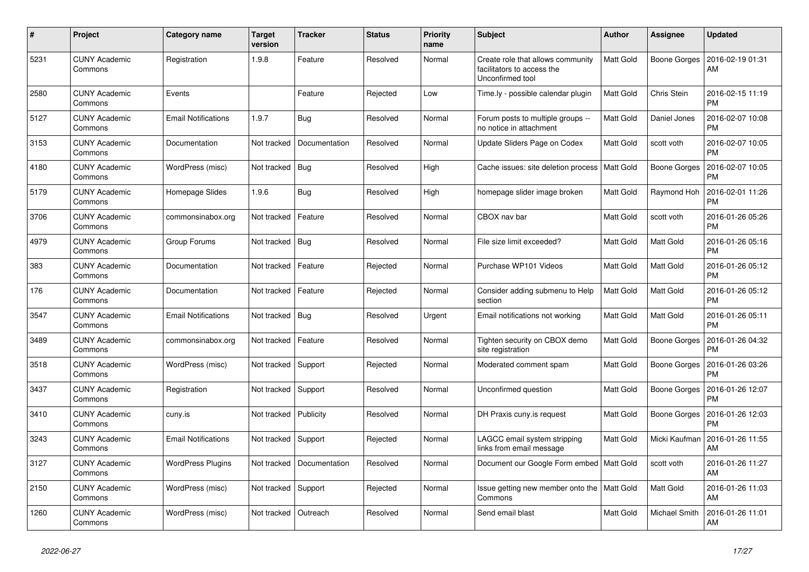| $\#$ | Project                         | Category name              | <b>Target</b><br>version | <b>Tracker</b> | <b>Status</b> | <b>Priority</b><br>name | <b>Subject</b>                                                                      | <b>Author</b>    | Assignee         | <b>Updated</b>                |
|------|---------------------------------|----------------------------|--------------------------|----------------|---------------|-------------------------|-------------------------------------------------------------------------------------|------------------|------------------|-------------------------------|
| 5231 | <b>CUNY Academic</b><br>Commons | Registration               | 1.9.8                    | Feature        | Resolved      | Normal                  | Create role that allows community<br>facilitators to access the<br>Unconfirmed tool | <b>Matt Gold</b> | Boone Gorges     | 2016-02-19 01:31<br>AM        |
| 2580 | <b>CUNY Academic</b><br>Commons | Events                     |                          | Feature        | Rejected      | Low                     | Time.ly - possible calendar plugin                                                  | <b>Matt Gold</b> | Chris Stein      | 2016-02-15 11:19<br><b>PM</b> |
| 5127 | <b>CUNY Academic</b><br>Commons | <b>Email Notifications</b> | 1.9.7                    | Bug            | Resolved      | Normal                  | Forum posts to multiple groups --<br>no notice in attachment                        | <b>Matt Gold</b> | Daniel Jones     | 2016-02-07 10:08<br><b>PM</b> |
| 3153 | <b>CUNY Academic</b><br>Commons | Documentation              | Not tracked              | Documentation  | Resolved      | Normal                  | Update Sliders Page on Codex                                                        | <b>Matt Gold</b> | scott voth       | 2016-02-07 10:05<br>PM        |
| 4180 | <b>CUNY Academic</b><br>Commons | WordPress (misc)           | Not tracked   Bug        |                | Resolved      | High                    | Cache issues: site deletion process                                                 | Matt Gold        | Boone Gorges     | 2016-02-07 10:05<br>PM        |
| 5179 | <b>CUNY Academic</b><br>Commons | Homepage Slides            | 1.9.6                    | Bug            | Resolved      | High                    | homepage slider image broken                                                        | <b>Matt Gold</b> | Raymond Hoh      | 2016-02-01 11:26<br>PM        |
| 3706 | <b>CUNY Academic</b><br>Commons | commonsinabox.org          | Not tracked              | Feature        | Resolved      | Normal                  | CBOX nav bar                                                                        | Matt Gold        | scott voth       | 2016-01-26 05:26<br><b>PM</b> |
| 4979 | <b>CUNY Academic</b><br>Commons | Group Forums               | Not tracked   Bug        |                | Resolved      | Normal                  | File size limit exceeded?                                                           | <b>Matt Gold</b> | Matt Gold        | 2016-01-26 05:16<br><b>PM</b> |
| 383  | <b>CUNY Academic</b><br>Commons | Documentation              | Not tracked              | Feature        | Rejected      | Normal                  | Purchase WP101 Videos                                                               | <b>Matt Gold</b> | Matt Gold        | 2016-01-26 05:12<br><b>PM</b> |
| 176  | <b>CUNY Academic</b><br>Commons | Documentation              | Not tracked              | Feature        | Rejected      | Normal                  | Consider adding submenu to Help<br>section                                          | <b>Matt Gold</b> | Matt Gold        | 2016-01-26 05:12<br>PM        |
| 3547 | <b>CUNY Academic</b><br>Commons | <b>Email Notifications</b> | Not tracked              | Bug            | Resolved      | Urgent                  | Email notifications not working                                                     | Matt Gold        | Matt Gold        | 2016-01-26 05:11<br><b>PM</b> |
| 3489 | <b>CUNY Academic</b><br>Commons | commonsinabox.org          | Not tracked              | Feature        | Resolved      | Normal                  | Tighten security on CBOX demo<br>site registration                                  | <b>Matt Gold</b> | Boone Gorges     | 2016-01-26 04:32<br>PM        |
| 3518 | <b>CUNY Academic</b><br>Commons | WordPress (misc)           | Not tracked              | Support        | Rejected      | Normal                  | Moderated comment spam                                                              | <b>Matt Gold</b> | Boone Gorges     | 2016-01-26 03:26<br>РM        |
| 3437 | <b>CUNY Academic</b><br>Commons | Registration               | Not tracked              | Support        | Resolved      | Normal                  | Unconfirmed question                                                                | <b>Matt Gold</b> | Boone Gorges     | 2016-01-26 12:07<br><b>PM</b> |
| 3410 | <b>CUNY Academic</b><br>Commons | cuny.is                    | Not tracked              | Publicity      | Resolved      | Normal                  | DH Praxis cuny.is request                                                           | <b>Matt Gold</b> | Boone Gorges     | 2016-01-26 12:03<br>РM        |
| 3243 | <b>CUNY Academic</b><br>Commons | <b>Email Notifications</b> | Not tracked              | Support        | Rejected      | Normal                  | LAGCC email system stripping<br>links from email message                            | <b>Matt Gold</b> | Micki Kaufman    | 2016-01-26 11:55<br>AM        |
| 3127 | <b>CUNY Academic</b><br>Commons | <b>WordPress Plugins</b>   | Not tracked              | Documentation  | Resolved      | Normal                  | Document our Google Form embed   Matt Gold                                          |                  | scott voth       | 2016-01-26 11:27<br><b>AM</b> |
| 2150 | <b>CUNY Academic</b><br>Commons | WordPress (misc)           | Not tracked              | Support        | Rejected      | Normal                  | Issue getting new member onto the   Matt Gold<br>Commons                            |                  | <b>Matt Gold</b> | 2016-01-26 11:03<br>AM        |
| 1260 | <b>CUNY Academic</b><br>Commons | WordPress (misc)           | Not tracked              | Outreach       | Resolved      | Normal                  | Send email blast                                                                    | <b>Matt Gold</b> | Michael Smith    | 2016-01-26 11:01<br>AM        |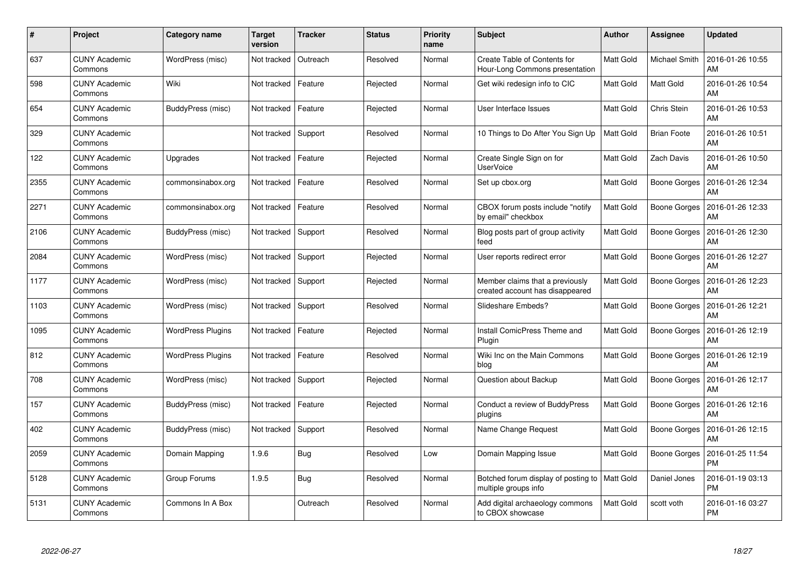| #    | Project                         | <b>Category name</b>     | <b>Target</b><br>version | <b>Tracker</b> | <b>Status</b> | <b>Priority</b><br>name | <b>Subject</b>                                                        | Author    | <b>Assignee</b>     | <b>Updated</b>                |
|------|---------------------------------|--------------------------|--------------------------|----------------|---------------|-------------------------|-----------------------------------------------------------------------|-----------|---------------------|-------------------------------|
| 637  | <b>CUNY Academic</b><br>Commons | WordPress (misc)         | Not tracked              | Outreach       | Resolved      | Normal                  | <b>Create Table of Contents for</b><br>Hour-Long Commons presentation | Matt Gold | Michael Smith       | 2016-01-26 10:55<br>AM        |
| 598  | <b>CUNY Academic</b><br>Commons | Wiki                     | Not tracked              | Feature        | Rejected      | Normal                  | Get wiki redesign info to CIC                                         | Matt Gold | Matt Gold           | 2016-01-26 10:54<br>AM        |
| 654  | <b>CUNY Academic</b><br>Commons | BuddyPress (misc)        | Not tracked              | Feature        | Rejected      | Normal                  | User Interface Issues                                                 | Matt Gold | Chris Stein         | 2016-01-26 10:53<br>AM        |
| 329  | <b>CUNY Academic</b><br>Commons |                          | Not tracked              | Support        | Resolved      | Normal                  | 10 Things to Do After You Sign Up                                     | Matt Gold | <b>Brian Foote</b>  | 2016-01-26 10:51<br>AM        |
| 122  | <b>CUNY Academic</b><br>Commons | Upgrades                 | Not tracked              | Feature        | Rejected      | Normal                  | Create Single Sign on for<br>UserVoice                                | Matt Gold | Zach Davis          | 2016-01-26 10:50<br><b>AM</b> |
| 2355 | <b>CUNY Academic</b><br>Commons | commonsinabox.org        | Not tracked              | Feature        | Resolved      | Normal                  | Set up cbox.org                                                       | Matt Gold | Boone Gorges        | 2016-01-26 12:34<br>AM        |
| 2271 | <b>CUNY Academic</b><br>Commons | commonsinabox.org        | Not tracked              | Feature        | Resolved      | Normal                  | CBOX forum posts include "notify"<br>by email" checkbox               | Matt Gold | <b>Boone Gorges</b> | 2016-01-26 12:33<br>AM        |
| 2106 | <b>CUNY Academic</b><br>Commons | BuddyPress (misc)        | Not tracked              | Support        | Resolved      | Normal                  | Blog posts part of group activity<br>feed                             | Matt Gold | <b>Boone Gorges</b> | 2016-01-26 12:30<br>AM        |
| 2084 | <b>CUNY Academic</b><br>Commons | WordPress (misc)         | Not tracked              | Support        | Rejected      | Normal                  | User reports redirect error                                           | Matt Gold | Boone Gorges        | 2016-01-26 12:27<br><b>AM</b> |
| 1177 | <b>CUNY Academic</b><br>Commons | WordPress (misc)         | Not tracked              | Support        | Rejected      | Normal                  | Member claims that a previously<br>created account has disappeared    | Matt Gold | Boone Gorges        | 2016-01-26 12:23<br>AM        |
| 1103 | <b>CUNY Academic</b><br>Commons | WordPress (misc)         | Not tracked              | Support        | Resolved      | Normal                  | Slideshare Embeds?                                                    | Matt Gold | Boone Gorges        | 2016-01-26 12:21<br>AM        |
| 1095 | <b>CUNY Academic</b><br>Commons | <b>WordPress Plugins</b> | Not tracked              | Feature        | Rejected      | Normal                  | <b>Install ComicPress Theme and</b><br>Plugin                         | Matt Gold | Boone Gorges        | 2016-01-26 12:19<br>AM        |
| 812  | <b>CUNY Academic</b><br>Commons | <b>WordPress Plugins</b> | Not tracked              | Feature        | Resolved      | Normal                  | Wiki Inc on the Main Commons<br>blog                                  | Matt Gold | Boone Gorges        | 2016-01-26 12:19<br>AM        |
| 708  | <b>CUNY Academic</b><br>Commons | WordPress (misc)         | Not tracked              | Support        | Rejected      | Normal                  | Question about Backup                                                 | Matt Gold | Boone Gorges        | 2016-01-26 12:17<br>AM        |
| 157  | <b>CUNY Academic</b><br>Commons | BuddyPress (misc)        | Not tracked              | Feature        | Rejected      | Normal                  | Conduct a review of BuddyPress<br>plugins                             | Matt Gold | Boone Gorges        | 2016-01-26 12:16<br>AM        |
| 402  | <b>CUNY Academic</b><br>Commons | BuddyPress (misc)        | Not tracked              | Support        | Resolved      | Normal                  | Name Change Request                                                   | Matt Gold | Boone Gorges        | 2016-01-26 12:15<br>AM        |
| 2059 | <b>CUNY Academic</b><br>Commons | Domain Mapping           | 1.9.6                    | Bug            | Resolved      | Low                     | Domain Mapping Issue                                                  | Matt Gold | Boone Gorges        | 2016-01-25 11:54<br><b>PM</b> |
| 5128 | <b>CUNY Academic</b><br>Commons | Group Forums             | 1.9.5                    | Bug            | Resolved      | Normal                  | Botched forum display of posting to<br>multiple groups info           | Matt Gold | Daniel Jones        | 2016-01-19 03:13<br><b>PM</b> |
| 5131 | <b>CUNY Academic</b><br>Commons | Commons In A Box         |                          | Outreach       | Resolved      | Normal                  | Add digital archaeology commons<br>to CBOX showcase                   | Matt Gold | scott voth          | 2016-01-16 03:27<br><b>PM</b> |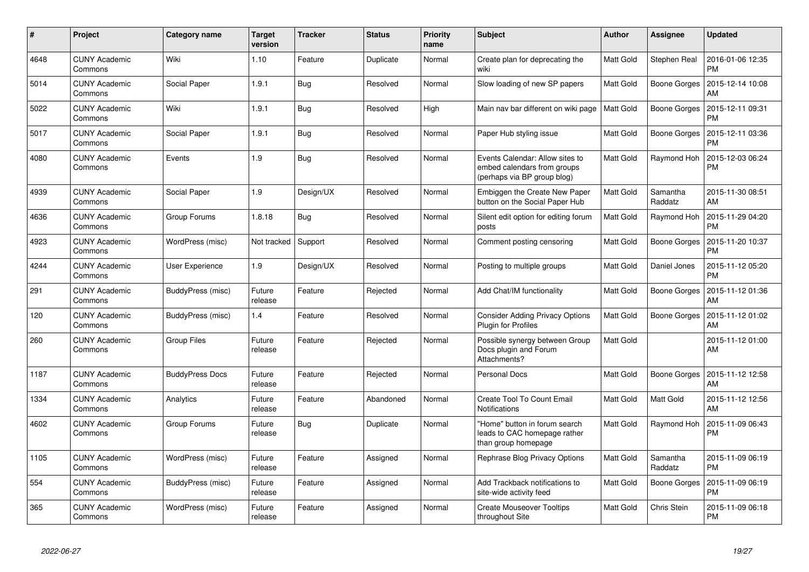| #    | Project                         | Category name          | <b>Target</b><br>version | <b>Tracker</b> | <b>Status</b> | <b>Priority</b><br>name | <b>Subject</b>                                                                                | <b>Author</b> | <b>Assignee</b>     | <b>Updated</b>                |
|------|---------------------------------|------------------------|--------------------------|----------------|---------------|-------------------------|-----------------------------------------------------------------------------------------------|---------------|---------------------|-------------------------------|
| 4648 | <b>CUNY Academic</b><br>Commons | Wiki                   | 1.10                     | Feature        | Duplicate     | Normal                  | Create plan for deprecating the<br>wiki                                                       | Matt Gold     | Stephen Real        | 2016-01-06 12:35<br><b>PM</b> |
| 5014 | <b>CUNY Academic</b><br>Commons | Social Paper           | 1.9.1                    | Bug            | Resolved      | Normal                  | Slow loading of new SP papers                                                                 | Matt Gold     | Boone Gorges        | 2015-12-14 10:08<br>AM        |
| 5022 | <b>CUNY Academic</b><br>Commons | Wiki                   | 1.9.1                    | <b>Bug</b>     | Resolved      | High                    | Main nav bar different on wiki page                                                           | Matt Gold     | <b>Boone Gorges</b> | 2015-12-11 09:31<br>PM        |
| 5017 | <b>CUNY Academic</b><br>Commons | Social Paper           | 1.9.1                    | <b>Bug</b>     | Resolved      | Normal                  | Paper Hub styling issue                                                                       | Matt Gold     | Boone Gorges        | 2015-12-11 03:36<br>PM        |
| 4080 | <b>CUNY Academic</b><br>Commons | Events                 | 1.9                      | <b>Bug</b>     | Resolved      | Normal                  | Events Calendar: Allow sites to<br>embed calendars from groups<br>(perhaps via BP group blog) | Matt Gold     | Raymond Hoh         | 2015-12-03 06:24<br><b>PM</b> |
| 4939 | <b>CUNY Academic</b><br>Commons | Social Paper           | 1.9                      | Design/UX      | Resolved      | Normal                  | Embiggen the Create New Paper<br>button on the Social Paper Hub                               | Matt Gold     | Samantha<br>Raddatz | 2015-11-30 08:51<br>AM        |
| 4636 | <b>CUNY Academic</b><br>Commons | Group Forums           | 1.8.18                   | Bug            | Resolved      | Normal                  | Silent edit option for editing forum<br>posts                                                 | Matt Gold     | Raymond Hoh         | 2015-11-29 04:20<br><b>PM</b> |
| 4923 | <b>CUNY Academic</b><br>Commons | WordPress (misc)       | Not tracked              | Support        | Resolved      | Normal                  | Comment posting censoring                                                                     | Matt Gold     | <b>Boone Gorges</b> | 2015-11-20 10:37<br>PM        |
| 4244 | <b>CUNY Academic</b><br>Commons | User Experience        | 1.9                      | Design/UX      | Resolved      | Normal                  | Posting to multiple groups                                                                    | Matt Gold     | Daniel Jones        | 2015-11-12 05:20<br><b>PM</b> |
| 291  | <b>CUNY Academic</b><br>Commons | BuddyPress (misc)      | Future<br>release        | Feature        | Rejected      | Normal                  | Add Chat/IM functionality                                                                     | Matt Gold     | Boone Gorges        | 2015-11-12 01:36<br>AM        |
| 120  | <b>CUNY Academic</b><br>Commons | BuddyPress (misc)      | 1.4                      | Feature        | Resolved      | Normal                  | <b>Consider Adding Privacy Options</b><br><b>Plugin for Profiles</b>                          | Matt Gold     | Boone Gorges        | 2015-11-12 01:02<br>AM        |
| 260  | <b>CUNY Academic</b><br>Commons | <b>Group Files</b>     | Future<br>release        | Feature        | Rejected      | Normal                  | Possible synergy between Group<br>Docs plugin and Forum<br>Attachments?                       | Matt Gold     |                     | 2015-11-12 01:00<br>AM        |
| 1187 | <b>CUNY Academic</b><br>Commons | <b>BuddyPress Docs</b> | Future<br>release        | Feature        | Rejected      | Normal                  | <b>Personal Docs</b>                                                                          | Matt Gold     | Boone Gorges        | 2015-11-12 12:58<br><b>AM</b> |
| 1334 | <b>CUNY Academic</b><br>Commons | Analytics              | Future<br>release        | Feature        | Abandoned     | Normal                  | <b>Create Tool To Count Email</b><br>Notifications                                            | Matt Gold     | Matt Gold           | 2015-11-12 12:56<br>AM        |
| 4602 | <b>CUNY Academic</b><br>Commons | Group Forums           | Future<br>release        | <b>Bug</b>     | Duplicate     | Normal                  | "Home" button in forum search<br>leads to CAC homepage rather<br>than group homepage          | Matt Gold     | Raymond Hoh         | 2015-11-09 06:43<br><b>PM</b> |
| 1105 | <b>CUNY Academic</b><br>Commons | WordPress (misc)       | Future<br>release        | Feature        | Assigned      | Normal                  | Rephrase Blog Privacy Options                                                                 | Matt Gold     | Samantha<br>Raddatz | 2015-11-09 06:19<br><b>PM</b> |
| 554  | <b>CUNY Academic</b><br>Commons | BuddyPress (misc)      | Future<br>release        | Feature        | Assigned      | Normal                  | Add Trackback notifications to<br>site-wide activity feed                                     | Matt Gold     | <b>Boone Gorges</b> | 2015-11-09 06:19<br><b>PM</b> |
| 365  | <b>CUNY Academic</b><br>Commons | WordPress (misc)       | Future<br>release        | Feature        | Assigned      | Normal                  | <b>Create Mouseover Tooltips</b><br>throughout Site                                           | Matt Gold     | Chris Stein         | 2015-11-09 06:18<br><b>PM</b> |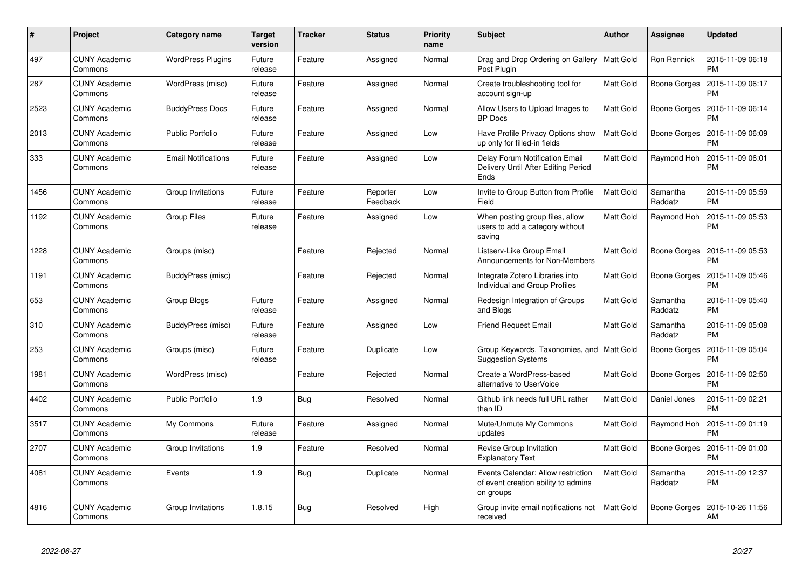| $\#$ | Project                         | <b>Category name</b>       | <b>Target</b><br>version | <b>Tracker</b> | <b>Status</b>        | <b>Priority</b><br>name | <b>Subject</b>                                                                         | <b>Author</b>    | <b>Assignee</b>     | <b>Updated</b>                |
|------|---------------------------------|----------------------------|--------------------------|----------------|----------------------|-------------------------|----------------------------------------------------------------------------------------|------------------|---------------------|-------------------------------|
| 497  | <b>CUNY Academic</b><br>Commons | <b>WordPress Plugins</b>   | Future<br>release        | Feature        | Assigned             | Normal                  | Drag and Drop Ordering on Gallery<br>Post Plugin                                       | Matt Gold        | Ron Rennick         | 2015-11-09 06:18<br><b>PM</b> |
| 287  | <b>CUNY Academic</b><br>Commons | WordPress (misc)           | Future<br>release        | Feature        | Assigned             | Normal                  | Create troubleshooting tool for<br>account sign-up                                     | Matt Gold        | Boone Gorges        | 2015-11-09 06:17<br><b>PM</b> |
| 2523 | <b>CUNY Academic</b><br>Commons | <b>BuddyPress Docs</b>     | Future<br>release        | Feature        | Assigned             | Normal                  | Allow Users to Upload Images to<br><b>BP</b> Docs                                      | Matt Gold        | <b>Boone Gorges</b> | 2015-11-09 06:14<br><b>PM</b> |
| 2013 | <b>CUNY Academic</b><br>Commons | <b>Public Portfolio</b>    | Future<br>release        | Feature        | Assigned             | Low                     | Have Profile Privacy Options show<br>up only for filled-in fields                      | <b>Matt Gold</b> | Boone Gorges        | 2015-11-09 06:09<br><b>PM</b> |
| 333  | <b>CUNY Academic</b><br>Commons | <b>Email Notifications</b> | Future<br>release        | Feature        | Assigned             | Low                     | Delay Forum Notification Email<br>Delivery Until After Editing Period<br>Ends          | Matt Gold        | Raymond Hoh         | 2015-11-09 06:01<br><b>PM</b> |
| 1456 | <b>CUNY Academic</b><br>Commons | Group Invitations          | Future<br>release        | Feature        | Reporter<br>Feedback | Low                     | Invite to Group Button from Profile<br>Field                                           | Matt Gold        | Samantha<br>Raddatz | 2015-11-09 05:59<br><b>PM</b> |
| 1192 | <b>CUNY Academic</b><br>Commons | <b>Group Files</b>         | Future<br>release        | Feature        | Assigned             | Low                     | When posting group files, allow<br>users to add a category without<br>saving           | Matt Gold        | Raymond Hoh         | 2015-11-09 05:53<br><b>PM</b> |
| 1228 | <b>CUNY Academic</b><br>Commons | Groups (misc)              |                          | Feature        | Rejected             | Normal                  | Listserv-Like Group Email<br>Announcements for Non-Members                             | Matt Gold        | Boone Gorges        | 2015-11-09 05:53<br><b>PM</b> |
| 1191 | <b>CUNY Academic</b><br>Commons | BuddyPress (misc)          |                          | Feature        | Rejected             | Normal                  | Integrate Zotero Libraries into<br>Individual and Group Profiles                       | Matt Gold        | <b>Boone Gorges</b> | 2015-11-09 05:46<br><b>PM</b> |
| 653  | <b>CUNY Academic</b><br>Commons | Group Blogs                | Future<br>release        | Feature        | Assigned             | Normal                  | Redesign Integration of Groups<br>and Blogs                                            | Matt Gold        | Samantha<br>Raddatz | 2015-11-09 05:40<br><b>PM</b> |
| 310  | <b>CUNY Academic</b><br>Commons | BuddyPress (misc)          | Future<br>release        | Feature        | Assigned             | Low                     | <b>Friend Request Email</b>                                                            | Matt Gold        | Samantha<br>Raddatz | 2015-11-09 05:08<br><b>PM</b> |
| 253  | <b>CUNY Academic</b><br>Commons | Groups (misc)              | Future<br>release        | Feature        | Duplicate            | Low                     | Group Keywords, Taxonomies, and   Matt Gold<br><b>Suggestion Systems</b>               |                  | Boone Gorges        | 2015-11-09 05:04<br><b>PM</b> |
| 1981 | <b>CUNY Academic</b><br>Commons | WordPress (misc)           |                          | Feature        | Rejected             | Normal                  | Create a WordPress-based<br>alternative to UserVoice                                   | Matt Gold        | Boone Gorges        | 2015-11-09 02:50<br><b>PM</b> |
| 4402 | <b>CUNY Academic</b><br>Commons | <b>Public Portfolio</b>    | 1.9                      | <b>Bug</b>     | Resolved             | Normal                  | Github link needs full URL rather<br>than ID                                           | Matt Gold        | Daniel Jones        | 2015-11-09 02:21<br><b>PM</b> |
| 3517 | <b>CUNY Academic</b><br>Commons | My Commons                 | Future<br>release        | Feature        | Assigned             | Normal                  | Mute/Unmute My Commons<br>updates                                                      | Matt Gold        | Raymond Hoh         | 2015-11-09 01:19<br><b>PM</b> |
| 2707 | <b>CUNY Academic</b><br>Commons | Group Invitations          | 1.9                      | Feature        | Resolved             | Normal                  | Revise Group Invitation<br><b>Explanatory Text</b>                                     | Matt Gold        | <b>Boone Gorges</b> | 2015-11-09 01:00<br><b>PM</b> |
| 4081 | <b>CUNY Academic</b><br>Commons | Events                     | 1.9                      | Bug            | Duplicate            | Normal                  | Events Calendar: Allow restriction<br>of event creation ability to admins<br>on groups | Matt Gold        | Samantha<br>Raddatz | 2015-11-09 12:37<br><b>PM</b> |
| 4816 | <b>CUNY Academic</b><br>Commons | Group Invitations          | 1.8.15                   | Bug            | Resolved             | High                    | Group invite email notifications not<br>received                                       | Matt Gold        | <b>Boone Gorges</b> | 2015-10-26 11:56<br>AM        |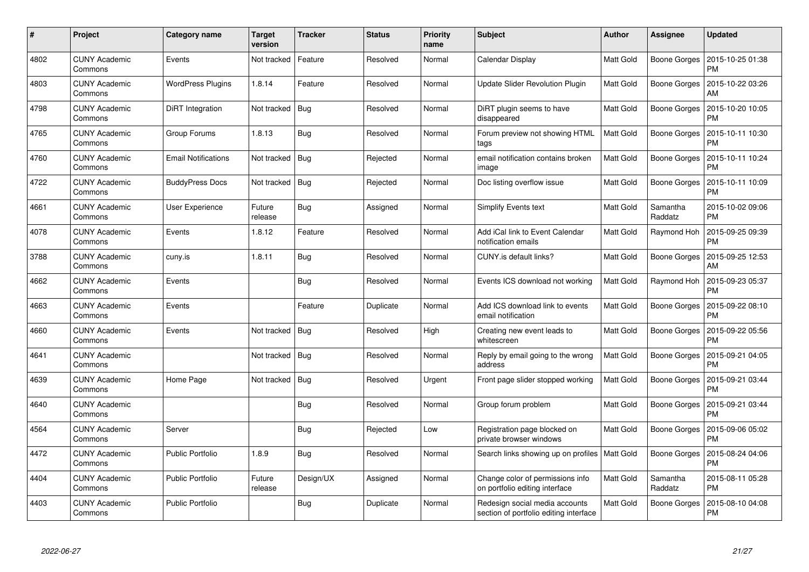| #    | Project                         | <b>Category name</b>       | <b>Target</b><br>version | <b>Tracker</b> | <b>Status</b> | <b>Priority</b><br>name | <b>Subject</b>                                                           | Author    | Assignee            | <b>Updated</b>                |
|------|---------------------------------|----------------------------|--------------------------|----------------|---------------|-------------------------|--------------------------------------------------------------------------|-----------|---------------------|-------------------------------|
| 4802 | <b>CUNY Academic</b><br>Commons | Events                     | Not tracked              | Feature        | Resolved      | Normal                  | Calendar Display                                                         | Matt Gold | Boone Gorges        | 2015-10-25 01:38<br><b>PM</b> |
| 4803 | <b>CUNY Academic</b><br>Commons | <b>WordPress Plugins</b>   | 1.8.14                   | Feature        | Resolved      | Normal                  | Update Slider Revolution Plugin                                          | Matt Gold | Boone Gorges        | 2015-10-22 03:26<br>AM        |
| 4798 | <b>CUNY Academic</b><br>Commons | DiRT Integration           | Not tracked              | <b>Bug</b>     | Resolved      | Normal                  | DiRT plugin seems to have<br>disappeared                                 | Matt Gold | <b>Boone Gorges</b> | 2015-10-20 10:05<br><b>PM</b> |
| 4765 | <b>CUNY Academic</b><br>Commons | Group Forums               | 1.8.13                   | Bug            | Resolved      | Normal                  | Forum preview not showing HTML<br>tags                                   | Matt Gold | Boone Gorges        | 2015-10-11 10:30<br><b>PM</b> |
| 4760 | <b>CUNY Academic</b><br>Commons | <b>Email Notifications</b> | Not tracked              | Bug            | Rejected      | Normal                  | email notification contains broken<br>image                              | Matt Gold | Boone Gorges        | 2015-10-11 10:24<br><b>PM</b> |
| 4722 | <b>CUNY Academic</b><br>Commons | <b>BuddyPress Docs</b>     | Not tracked              | Bug            | Rejected      | Normal                  | Doc listing overflow issue                                               | Matt Gold | Boone Gorges        | 2015-10-11 10:09<br><b>PM</b> |
| 4661 | <b>CUNY Academic</b><br>Commons | <b>User Experience</b>     | Future<br>release        | Bug            | Assigned      | Normal                  | Simplify Events text                                                     | Matt Gold | Samantha<br>Raddatz | 2015-10-02 09:06<br><b>PM</b> |
| 4078 | <b>CUNY Academic</b><br>Commons | Events                     | 1.8.12                   | Feature        | Resolved      | Normal                  | Add iCal link to Event Calendar<br>notification emails                   | Matt Gold | Raymond Hoh         | 2015-09-25 09:39<br><b>PM</b> |
| 3788 | <b>CUNY Academic</b><br>Commons | cuny.is                    | 1.8.11                   | <b>Bug</b>     | Resolved      | Normal                  | CUNY.is default links?                                                   | Matt Gold | Boone Gorges        | 2015-09-25 12:53<br>AM        |
| 4662 | <b>CUNY Academic</b><br>Commons | Events                     |                          | Bug            | Resolved      | Normal                  | Events ICS download not working                                          | Matt Gold | Raymond Hoh         | 2015-09-23 05:37<br><b>PM</b> |
| 4663 | <b>CUNY Academic</b><br>Commons | Events                     |                          | Feature        | Duplicate     | Normal                  | Add ICS download link to events<br>email notification                    | Matt Gold | <b>Boone Gorges</b> | 2015-09-22 08:10<br><b>PM</b> |
| 4660 | <b>CUNY Academic</b><br>Commons | Events                     | Not tracked              | <b>Bug</b>     | Resolved      | High                    | Creating new event leads to<br>whitescreen                               | Matt Gold | Boone Gorges        | 2015-09-22 05:56<br><b>PM</b> |
| 4641 | <b>CUNY Academic</b><br>Commons |                            | Not tracked              | Bug            | Resolved      | Normal                  | Reply by email going to the wrong<br>address                             | Matt Gold | Boone Gorges        | 2015-09-21 04:05<br><b>PM</b> |
| 4639 | <b>CUNY Academic</b><br>Commons | Home Page                  | Not tracked              | <b>Bug</b>     | Resolved      | Urgent                  | Front page slider stopped working                                        | Matt Gold | Boone Gorges        | 2015-09-21 03:44<br><b>PM</b> |
| 4640 | <b>CUNY Academic</b><br>Commons |                            |                          | Bug            | Resolved      | Normal                  | Group forum problem                                                      | Matt Gold | Boone Gorges        | 2015-09-21 03:44<br><b>PM</b> |
| 4564 | <b>CUNY Academic</b><br>Commons | Server                     |                          | <b>Bug</b>     | Rejected      | Low                     | Registration page blocked on<br>private browser windows                  | Matt Gold | Boone Gorges        | 2015-09-06 05:02<br><b>PM</b> |
| 4472 | <b>CUNY Academic</b><br>Commons | <b>Public Portfolio</b>    | 1.8.9                    | <b>Bug</b>     | Resolved      | Normal                  | Search links showing up on profiles   Matt Gold                          |           | <b>Boone Gorges</b> | 2015-08-24 04:06<br><b>PM</b> |
| 4404 | <b>CUNY Academic</b><br>Commons | <b>Public Portfolio</b>    | Future<br>release        | Design/UX      | Assigned      | Normal                  | Change color of permissions info<br>on portfolio editing interface       | Matt Gold | Samantha<br>Raddatz | 2015-08-11 05:28<br><b>PM</b> |
| 4403 | <b>CUNY Academic</b><br>Commons | <b>Public Portfolio</b>    |                          | Bug            | Duplicate     | Normal                  | Redesign social media accounts<br>section of portfolio editing interface | Matt Gold | Boone Gorges        | 2015-08-10 04:08<br>PM        |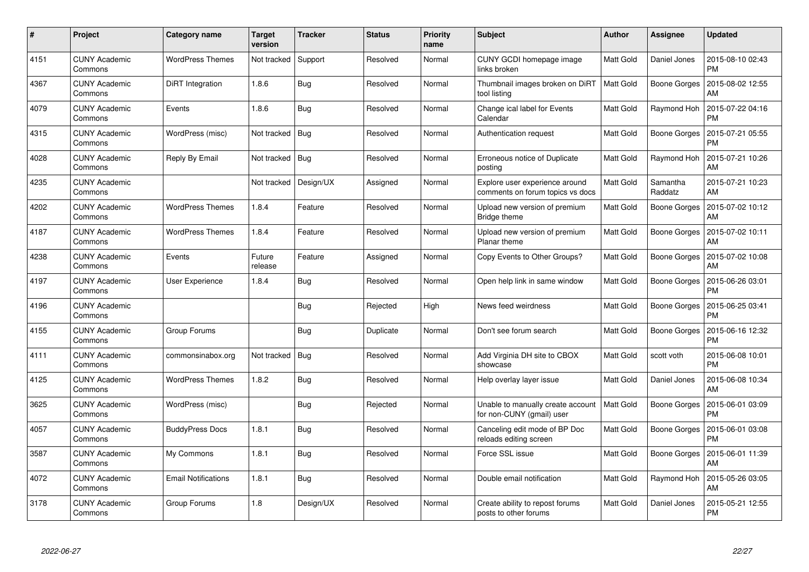| #    | Project                         | <b>Category name</b>       | <b>Target</b><br>version | <b>Tracker</b> | <b>Status</b> | <b>Priority</b><br>name | <b>Subject</b>                                                     | <b>Author</b>    | Assignee            | <b>Updated</b>                |
|------|---------------------------------|----------------------------|--------------------------|----------------|---------------|-------------------------|--------------------------------------------------------------------|------------------|---------------------|-------------------------------|
| 4151 | <b>CUNY Academic</b><br>Commons | <b>WordPress Themes</b>    | Not tracked              | Support        | Resolved      | Normal                  | CUNY GCDI homepage image<br>links broken                           | Matt Gold        | Daniel Jones        | 2015-08-10 02:43<br><b>PM</b> |
| 4367 | <b>CUNY Academic</b><br>Commons | DiRT Integration           | 1.8.6                    | Bug            | Resolved      | Normal                  | Thumbnail images broken on DiRT<br>tool listing                    | <b>Matt Gold</b> | <b>Boone Gorges</b> | 2015-08-02 12:55<br>AM        |
| 4079 | <b>CUNY Academic</b><br>Commons | Events                     | 1.8.6                    | Bug            | Resolved      | Normal                  | Change ical label for Events<br>Calendar                           | Matt Gold        | Raymond Hoh         | 2015-07-22 04:16<br><b>PM</b> |
| 4315 | <b>CUNY Academic</b><br>Commons | WordPress (misc)           | Not tracked              | <b>Bug</b>     | Resolved      | Normal                  | Authentication request                                             | Matt Gold        | Boone Gorges        | 2015-07-21 05:55<br><b>PM</b> |
| 4028 | <b>CUNY Academic</b><br>Commons | Reply By Email             | Not tracked              | <b>Bug</b>     | Resolved      | Normal                  | Erroneous notice of Duplicate<br>posting                           | Matt Gold        | Raymond Hoh         | 2015-07-21 10:26<br>AM        |
| 4235 | <b>CUNY Academic</b><br>Commons |                            | Not tracked              | Design/UX      | Assigned      | Normal                  | Explore user experience around<br>comments on forum topics vs docs | Matt Gold        | Samantha<br>Raddatz | 2015-07-21 10:23<br>AM        |
| 4202 | <b>CUNY Academic</b><br>Commons | <b>WordPress Themes</b>    | 1.8.4                    | Feature        | Resolved      | Normal                  | Upload new version of premium<br>Bridge theme                      | Matt Gold        | <b>Boone Gorges</b> | 2015-07-02 10:12<br>AM        |
| 4187 | <b>CUNY Academic</b><br>Commons | <b>WordPress Themes</b>    | 1.8.4                    | Feature        | Resolved      | Normal                  | Upload new version of premium<br>Planar theme                      | <b>Matt Gold</b> | Boone Gorges        | 2015-07-02 10:11<br>AM        |
| 4238 | <b>CUNY Academic</b><br>Commons | Events                     | Future<br>release        | Feature        | Assigned      | Normal                  | Copy Events to Other Groups?                                       | Matt Gold        | Boone Gorges        | 2015-07-02 10:08<br>AM        |
| 4197 | <b>CUNY Academic</b><br>Commons | <b>User Experience</b>     | 1.8.4                    | Bug            | Resolved      | Normal                  | Open help link in same window                                      | Matt Gold        | Boone Gorges        | 2015-06-26 03:01<br><b>PM</b> |
| 4196 | <b>CUNY Academic</b><br>Commons |                            |                          | Bug            | Rejected      | High                    | News feed weirdness                                                | <b>Matt Gold</b> | <b>Boone Gorges</b> | 2015-06-25 03:41<br><b>PM</b> |
| 4155 | <b>CUNY Academic</b><br>Commons | Group Forums               |                          | Bug            | Duplicate     | Normal                  | Don't see forum search                                             | Matt Gold        | Boone Gorges        | 2015-06-16 12:32<br><b>PM</b> |
| 4111 | <b>CUNY Academic</b><br>Commons | commonsinabox.org          | Not tracked              | <b>Bug</b>     | Resolved      | Normal                  | Add Virginia DH site to CBOX<br>showcase                           | Matt Gold        | scott voth          | 2015-06-08 10:01<br><b>PM</b> |
| 4125 | <b>CUNY Academic</b><br>Commons | <b>WordPress Themes</b>    | 1.8.2                    | <b>Bug</b>     | Resolved      | Normal                  | Help overlay layer issue                                           | Matt Gold        | Daniel Jones        | 2015-06-08 10:34<br>AM        |
| 3625 | <b>CUNY Academic</b><br>Commons | WordPress (misc)           |                          | Bug            | Rejected      | Normal                  | Unable to manually create account<br>for non-CUNY (gmail) user     | Matt Gold        | Boone Gorges        | 2015-06-01 03:09<br><b>PM</b> |
| 4057 | <b>CUNY Academic</b><br>Commons | <b>BuddyPress Docs</b>     | 1.8.1                    | <b>Bug</b>     | Resolved      | Normal                  | Canceling edit mode of BP Doc<br>reloads editing screen            | Matt Gold        | Boone Gorges        | 2015-06-01 03:08<br><b>PM</b> |
| 3587 | <b>CUNY Academic</b><br>Commons | My Commons                 | 1.8.1                    | Bug            | Resolved      | Normal                  | Force SSL issue                                                    | Matt Gold        | Boone Gorges        | 2015-06-01 11:39<br>AM        |
| 4072 | <b>CUNY Academic</b><br>Commons | <b>Email Notifications</b> | 1.8.1                    | Bug            | Resolved      | Normal                  | Double email notification                                          | Matt Gold        | Raymond Hoh         | 2015-05-26 03:05<br>AM        |
| 3178 | <b>CUNY Academic</b><br>Commons | Group Forums               | 1.8                      | Design/UX      | Resolved      | Normal                  | Create ability to repost forums<br>posts to other forums           | Matt Gold        | Daniel Jones        | 2015-05-21 12:55<br><b>PM</b> |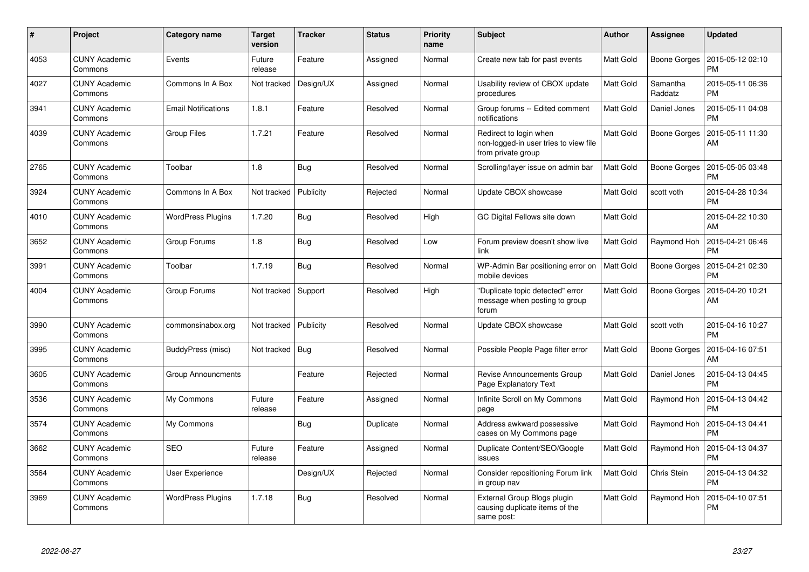| $\#$ | Project                         | Category name              | <b>Target</b><br>version | <b>Tracker</b> | <b>Status</b> | <b>Priority</b><br>name | <b>Subject</b>                                                                        | <b>Author</b>    | Assignee            | <b>Updated</b>                |
|------|---------------------------------|----------------------------|--------------------------|----------------|---------------|-------------------------|---------------------------------------------------------------------------------------|------------------|---------------------|-------------------------------|
| 4053 | <b>CUNY Academic</b><br>Commons | Events                     | Future<br>release        | Feature        | Assigned      | Normal                  | Create new tab for past events                                                        | Matt Gold        | Boone Gorges        | 2015-05-12 02:10<br>PM        |
| 4027 | <b>CUNY Academic</b><br>Commons | Commons In A Box           | Not tracked              | Design/UX      | Assigned      | Normal                  | Usability review of CBOX update<br>procedures                                         | Matt Gold        | Samantha<br>Raddatz | 2015-05-11 06:36<br><b>PM</b> |
| 3941 | <b>CUNY Academic</b><br>Commons | <b>Email Notifications</b> | 1.8.1                    | Feature        | Resolved      | Normal                  | Group forums -- Edited comment<br>notifications                                       | <b>Matt Gold</b> | Daniel Jones        | 2015-05-11 04:08<br><b>PM</b> |
| 4039 | <b>CUNY Academic</b><br>Commons | Group Files                | 1.7.21                   | Feature        | Resolved      | Normal                  | Redirect to login when<br>non-logged-in user tries to view file<br>from private group | <b>Matt Gold</b> | <b>Boone Gorges</b> | 2015-05-11 11:30<br>AM        |
| 2765 | CUNY Academic<br>Commons        | Toolbar                    | 1.8                      | Bug            | Resolved      | Normal                  | Scrolling/layer issue on admin bar                                                    | Matt Gold        | Boone Gorges        | 2015-05-05 03:48<br><b>PM</b> |
| 3924 | <b>CUNY Academic</b><br>Commons | Commons In A Box           | Not tracked              | Publicity      | Rejected      | Normal                  | Update CBOX showcase                                                                  | <b>Matt Gold</b> | scott voth          | 2015-04-28 10:34<br><b>PM</b> |
| 4010 | CUNY Academic<br>Commons        | <b>WordPress Plugins</b>   | 1.7.20                   | Bug            | Resolved      | High                    | GC Digital Fellows site down                                                          | Matt Gold        |                     | 2015-04-22 10:30<br>AM        |
| 3652 | CUNY Academic<br>Commons        | Group Forums               | 1.8                      | Bug            | Resolved      | Low                     | Forum preview doesn't show live<br>link                                               | <b>Matt Gold</b> | Raymond Hoh         | 2015-04-21 06:46<br><b>PM</b> |
| 3991 | CUNY Academic<br>Commons        | Toolbar                    | 1.7.19                   | <b>Bug</b>     | Resolved      | Normal                  | WP-Admin Bar positioning error on<br>mobile devices                                   | <b>Matt Gold</b> | Boone Gorges        | 2015-04-21 02:30<br>PM        |
| 4004 | <b>CUNY Academic</b><br>Commons | Group Forums               | Not tracked              | Support        | Resolved      | High                    | 'Duplicate topic detected" error<br>message when posting to group<br>forum            | <b>Matt Gold</b> | Boone Gorges        | 2015-04-20 10:21<br>AM        |
| 3990 | <b>CUNY Academic</b><br>Commons | commonsinabox.org          | Not tracked              | Publicity      | Resolved      | Normal                  | Update CBOX showcase                                                                  | <b>Matt Gold</b> | scott voth          | 2015-04-16 10:27<br><b>PM</b> |
| 3995 | <b>CUNY Academic</b><br>Commons | BuddyPress (misc)          | Not tracked              | Bug            | Resolved      | Normal                  | Possible People Page filter error                                                     | Matt Gold        | <b>Boone Gorges</b> | 2015-04-16 07:51<br>AM        |
| 3605 | <b>CUNY Academic</b><br>Commons | Group Announcments         |                          | Feature        | Rejected      | Normal                  | Revise Announcements Group<br>Page Explanatory Text                                   | <b>Matt Gold</b> | Daniel Jones        | 2015-04-13 04:45<br><b>PM</b> |
| 3536 | <b>CUNY Academic</b><br>Commons | My Commons                 | Future<br>release        | Feature        | Assigned      | Normal                  | Infinite Scroll on My Commons<br>page                                                 | Matt Gold        | Raymond Hoh         | 2015-04-13 04:42<br>PM        |
| 3574 | <b>CUNY Academic</b><br>Commons | My Commons                 |                          | <b>Bug</b>     | Duplicate     | Normal                  | Address awkward possessive<br>cases on My Commons page                                | <b>Matt Gold</b> | Raymond Hoh         | 2015-04-13 04:41<br><b>PM</b> |
| 3662 | <b>CUNY Academic</b><br>Commons | <b>SEO</b>                 | Future<br>release        | Feature        | Assigned      | Normal                  | Duplicate Content/SEO/Google<br>issues                                                | Matt Gold        | Raymond Hoh         | 2015-04-13 04:37<br><b>PM</b> |
| 3564 | <b>CUNY Academic</b><br>Commons | User Experience            |                          | Design/UX      | Rejected      | Normal                  | Consider repositioning Forum link<br>in group nav                                     | Matt Gold        | Chris Stein         | 2015-04-13 04:32<br><b>PM</b> |
| 3969 | <b>CUNY Academic</b><br>Commons | <b>WordPress Plugins</b>   | 1.7.18                   | Bug            | Resolved      | Normal                  | External Group Blogs plugin<br>causing duplicate items of the<br>same post:           | <b>Matt Gold</b> | Raymond Hoh         | 2015-04-10 07:51<br>PM        |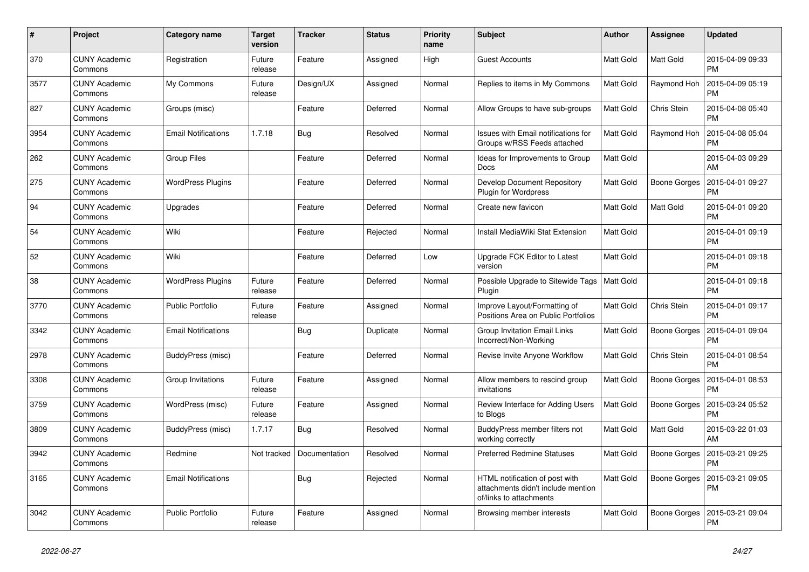| #    | Project                         | <b>Category name</b>       | <b>Target</b><br>version | <b>Tracker</b> | <b>Status</b> | Priority<br>name | <b>Subject</b>                                                                                  | <b>Author</b>    | <b>Assignee</b>     | <b>Updated</b>                |
|------|---------------------------------|----------------------------|--------------------------|----------------|---------------|------------------|-------------------------------------------------------------------------------------------------|------------------|---------------------|-------------------------------|
| 370  | <b>CUNY Academic</b><br>Commons | Registration               | Future<br>release        | Feature        | Assigned      | High             | <b>Guest Accounts</b>                                                                           | Matt Gold        | <b>Matt Gold</b>    | 2015-04-09 09:33<br><b>PM</b> |
| 3577 | <b>CUNY Academic</b><br>Commons | My Commons                 | Future<br>release        | Design/UX      | Assigned      | Normal           | Replies to items in My Commons                                                                  | Matt Gold        | Raymond Hoh         | 2015-04-09 05:19<br><b>PM</b> |
| 827  | <b>CUNY Academic</b><br>Commons | Groups (misc)              |                          | Feature        | Deferred      | Normal           | Allow Groups to have sub-groups                                                                 | Matt Gold        | Chris Stein         | 2015-04-08 05:40<br><b>PM</b> |
| 3954 | <b>CUNY Academic</b><br>Commons | <b>Email Notifications</b> | 1.7.18                   | <b>Bug</b>     | Resolved      | Normal           | <b>Issues with Email notifications for</b><br>Groups w/RSS Feeds attached                       | Matt Gold        | Raymond Hoh         | 2015-04-08 05:04<br><b>PM</b> |
| 262  | <b>CUNY Academic</b><br>Commons | <b>Group Files</b>         |                          | Feature        | Deferred      | Normal           | Ideas for Improvements to Group<br><b>Docs</b>                                                  | Matt Gold        |                     | 2015-04-03 09:29<br>AM        |
| 275  | <b>CUNY Academic</b><br>Commons | <b>WordPress Plugins</b>   |                          | Feature        | Deferred      | Normal           | Develop Document Repository<br>Plugin for Wordpress                                             | Matt Gold        | <b>Boone Gorges</b> | 2015-04-01 09:27<br><b>PM</b> |
| 94   | <b>CUNY Academic</b><br>Commons | Upgrades                   |                          | Feature        | Deferred      | Normal           | Create new favicon                                                                              | Matt Gold        | Matt Gold           | 2015-04-01 09:20<br><b>PM</b> |
| 54   | <b>CUNY Academic</b><br>Commons | Wiki                       |                          | Feature        | Rejected      | Normal           | Install MediaWiki Stat Extension                                                                | Matt Gold        |                     | 2015-04-01 09:19<br><b>PM</b> |
| 52   | <b>CUNY Academic</b><br>Commons | Wiki                       |                          | Feature        | Deferred      | Low              | Upgrade FCK Editor to Latest<br>version                                                         | Matt Gold        |                     | 2015-04-01 09:18<br><b>PM</b> |
| 38   | <b>CUNY Academic</b><br>Commons | <b>WordPress Plugins</b>   | Future<br>release        | Feature        | Deferred      | Normal           | Possible Upgrade to Sitewide Tags<br>Pluain                                                     | <b>Matt Gold</b> |                     | 2015-04-01 09:18<br><b>PM</b> |
| 3770 | <b>CUNY Academic</b><br>Commons | <b>Public Portfolio</b>    | Future<br>release        | Feature        | Assigned      | Normal           | Improve Layout/Formatting of<br>Positions Area on Public Portfolios                             | Matt Gold        | Chris Stein         | 2015-04-01 09:17<br><b>PM</b> |
| 3342 | <b>CUNY Academic</b><br>Commons | <b>Email Notifications</b> |                          | <b>Bug</b>     | Duplicate     | Normal           | Group Invitation Email Links<br>Incorrect/Non-Working                                           | Matt Gold        | <b>Boone Gorges</b> | 2015-04-01 09:04<br><b>PM</b> |
| 2978 | <b>CUNY Academic</b><br>Commons | BuddyPress (misc)          |                          | Feature        | Deferred      | Normal           | Revise Invite Anyone Workflow                                                                   | Matt Gold        | Chris Stein         | 2015-04-01 08:54<br><b>PM</b> |
| 3308 | <b>CUNY Academic</b><br>Commons | Group Invitations          | Future<br>release        | Feature        | Assigned      | Normal           | Allow members to rescind group<br>invitations                                                   | Matt Gold        | Boone Gorges        | 2015-04-01 08:53<br><b>PM</b> |
| 3759 | <b>CUNY Academic</b><br>Commons | WordPress (misc)           | Future<br>release        | Feature        | Assigned      | Normal           | Review Interface for Adding Users<br>to Blogs                                                   | Matt Gold        | <b>Boone Gorges</b> | 2015-03-24 05:52<br><b>PM</b> |
| 3809 | <b>CUNY Academic</b><br>Commons | BuddyPress (misc)          | 1.7.17                   | <b>Bug</b>     | Resolved      | Normal           | BuddyPress member filters not<br>working correctly                                              | Matt Gold        | Matt Gold           | 2015-03-22 01:03<br>AM        |
| 3942 | <b>CUNY Academic</b><br>Commons | Redmine                    | Not tracked              | Documentation  | Resolved      | Normal           | <b>Preferred Redmine Statuses</b>                                                               | Matt Gold        | Boone Gorges        | 2015-03-21 09:25<br><b>PM</b> |
| 3165 | <b>CUNY Academic</b><br>Commons | <b>Email Notifications</b> |                          | Bug            | Rejected      | Normal           | HTML notification of post with<br>attachments didn't include mention<br>of/links to attachments | Matt Gold        | Boone Gorges        | 2015-03-21 09:05<br><b>PM</b> |
| 3042 | <b>CUNY Academic</b><br>Commons | <b>Public Portfolio</b>    | Future<br>release        | Feature        | Assigned      | Normal           | Browsing member interests                                                                       | Matt Gold        | Boone Gorges        | 2015-03-21 09:04<br><b>PM</b> |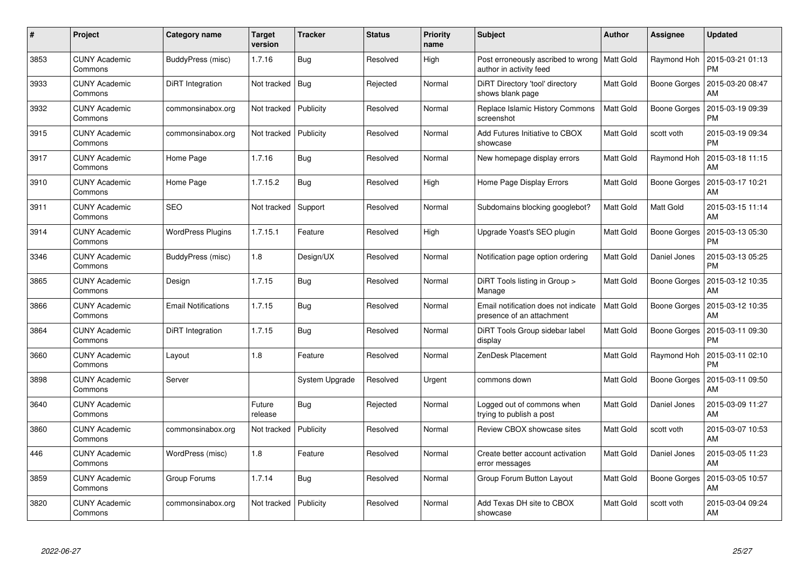| #    | <b>Project</b>                  | Category name              | <b>Target</b><br>version | <b>Tracker</b> | <b>Status</b> | <b>Priority</b><br>name | <b>Subject</b>                                                            | Author           | Assignee            | <b>Updated</b>                |
|------|---------------------------------|----------------------------|--------------------------|----------------|---------------|-------------------------|---------------------------------------------------------------------------|------------------|---------------------|-------------------------------|
| 3853 | <b>CUNY Academic</b><br>Commons | BuddyPress (misc)          | 1.7.16                   | Bug            | Resolved      | High                    | Post erroneously ascribed to wrong   Matt Gold<br>author in activity feed |                  | Raymond Hoh         | 2015-03-21 01:13<br><b>PM</b> |
| 3933 | <b>CUNY Academic</b><br>Commons | DiRT Integration           | Not tracked              | Bug            | Rejected      | Normal                  | DiRT Directory 'tool' directory<br>shows blank page                       | Matt Gold        | Boone Gorges        | 2015-03-20 08:47<br>AM        |
| 3932 | <b>CUNY Academic</b><br>Commons | commonsinabox.org          | Not tracked              | Publicity      | Resolved      | Normal                  | Replace Islamic History Commons<br>screenshot                             | <b>Matt Gold</b> | <b>Boone Gorges</b> | 2015-03-19 09:39<br><b>PM</b> |
| 3915 | <b>CUNY Academic</b><br>Commons | commonsinabox.org          | Not tracked              | Publicity      | Resolved      | Normal                  | Add Futures Initiative to CBOX<br>showcase                                | Matt Gold        | scott voth          | 2015-03-19 09:34<br><b>PM</b> |
| 3917 | <b>CUNY Academic</b><br>Commons | Home Page                  | 1.7.16                   | <b>Bug</b>     | Resolved      | Normal                  | New homepage display errors                                               | Matt Gold        | Raymond Hoh         | 2015-03-18 11:15<br>AM        |
| 3910 | <b>CUNY Academic</b><br>Commons | Home Page                  | 1.7.15.2                 | Bug            | Resolved      | High                    | Home Page Display Errors                                                  | Matt Gold        | Boone Gorges        | 2015-03-17 10:21<br>AM        |
| 3911 | <b>CUNY Academic</b><br>Commons | <b>SEO</b>                 | Not tracked              | Support        | Resolved      | Normal                  | Subdomains blocking googlebot?                                            | <b>Matt Gold</b> | Matt Gold           | 2015-03-15 11:14<br>AM        |
| 3914 | <b>CUNY Academic</b><br>Commons | <b>WordPress Plugins</b>   | 1.7.15.1                 | Feature        | Resolved      | High                    | Upgrade Yoast's SEO plugin                                                | Matt Gold        | Boone Gorges        | 2015-03-13 05:30<br>PM        |
| 3346 | <b>CUNY Academic</b><br>Commons | BuddyPress (misc)          | 1.8                      | Design/UX      | Resolved      | Normal                  | Notification page option ordering                                         | Matt Gold        | Daniel Jones        | 2015-03-13 05:25<br><b>PM</b> |
| 3865 | <b>CUNY Academic</b><br>Commons | Design                     | 1.7.15                   | Bug            | Resolved      | Normal                  | DiRT Tools listing in Group ><br>Manage                                   | Matt Gold        | Boone Gorges        | 2015-03-12 10:35<br>AM        |
| 3866 | <b>CUNY Academic</b><br>Commons | <b>Email Notifications</b> | 1.7.15                   | Bug            | Resolved      | Normal                  | Email notification does not indicate<br>presence of an attachment         | <b>Matt Gold</b> | Boone Gorges        | 2015-03-12 10:35<br>AM        |
| 3864 | <b>CUNY Academic</b><br>Commons | DiRT Integration           | 1.7.15                   | Bug            | Resolved      | Normal                  | DiRT Tools Group sidebar label<br>display                                 | Matt Gold        | Boone Gorges        | 2015-03-11 09:30<br>PM        |
| 3660 | <b>CUNY Academic</b><br>Commons | Layout                     | 1.8                      | Feature        | Resolved      | Normal                  | ZenDesk Placement                                                         | Matt Gold        | Raymond Hoh         | 2015-03-11 02:10<br><b>PM</b> |
| 3898 | <b>CUNY Academic</b><br>Commons | Server                     |                          | System Upgrade | Resolved      | Urgent                  | commons down                                                              | Matt Gold        | Boone Gorges        | 2015-03-11 09:50<br>AM        |
| 3640 | <b>CUNY Academic</b><br>Commons |                            | Future<br>release        | Bug            | Rejected      | Normal                  | Logged out of commons when<br>trying to publish a post                    | Matt Gold        | Daniel Jones        | 2015-03-09 11:27<br>AM        |
| 3860 | <b>CUNY Academic</b><br>Commons | commonsinabox.org          | Not tracked              | Publicity      | Resolved      | Normal                  | Review CBOX showcase sites                                                | Matt Gold        | scott voth          | 2015-03-07 10:53<br><b>AM</b> |
| 446  | <b>CUNY Academic</b><br>Commons | WordPress (misc)           | 1.8                      | Feature        | Resolved      | Normal                  | Create better account activation<br>error messages                        | Matt Gold        | Daniel Jones        | 2015-03-05 11:23<br>AM        |
| 3859 | <b>CUNY Academic</b><br>Commons | Group Forums               | 1.7.14                   | Bug            | Resolved      | Normal                  | Group Forum Button Layout                                                 | Matt Gold        | <b>Boone Gorges</b> | 2015-03-05 10:57<br>AM        |
| 3820 | <b>CUNY Academic</b><br>Commons | commonsinabox.org          | Not tracked              | Publicity      | Resolved      | Normal                  | Add Texas DH site to CBOX<br>showcase                                     | Matt Gold        | scott voth          | 2015-03-04 09:24<br>AM        |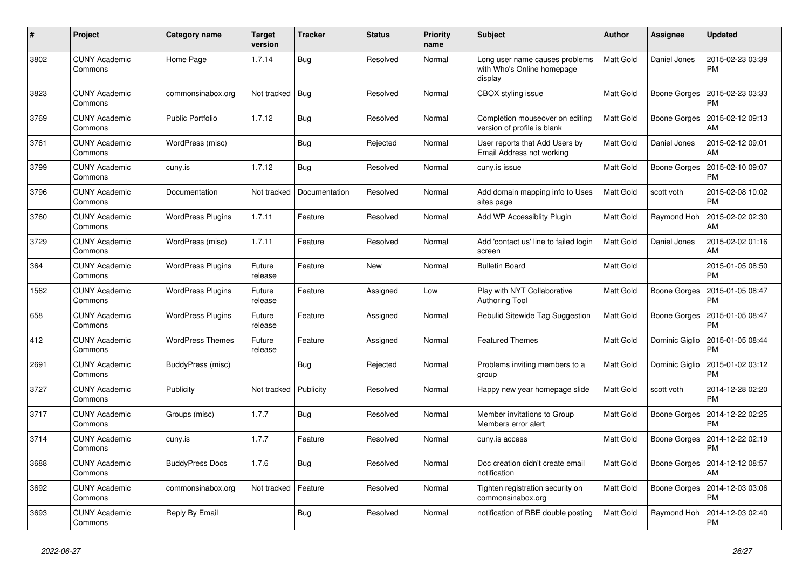| $\#$ | Project                         | Category name            | <b>Target</b><br>version | <b>Tracker</b> | <b>Status</b> | <b>Priority</b><br>name | <b>Subject</b>                                                          | <b>Author</b>    | <b>Assignee</b>     | <b>Updated</b>                |
|------|---------------------------------|--------------------------|--------------------------|----------------|---------------|-------------------------|-------------------------------------------------------------------------|------------------|---------------------|-------------------------------|
| 3802 | <b>CUNY Academic</b><br>Commons | Home Page                | 1.7.14                   | Bug            | Resolved      | Normal                  | Long user name causes problems<br>with Who's Online homepage<br>display | <b>Matt Gold</b> | Daniel Jones        | 2015-02-23 03:39<br>PM        |
| 3823 | <b>CUNY Academic</b><br>Commons | commonsinabox.org        | Not tracked   Bug        |                | Resolved      | Normal                  | CBOX styling issue                                                      | <b>Matt Gold</b> | Boone Gorges        | 2015-02-23 03:33<br>PM        |
| 3769 | <b>CUNY Academic</b><br>Commons | <b>Public Portfolio</b>  | 1.7.12                   | <b>Bug</b>     | Resolved      | Normal                  | Completion mouseover on editing<br>version of profile is blank          | <b>Matt Gold</b> | Boone Gorges        | 2015-02-12 09:13<br>AM        |
| 3761 | <b>CUNY Academic</b><br>Commons | WordPress (misc)         |                          | Bug            | Rejected      | Normal                  | User reports that Add Users by<br>Email Address not working             | Matt Gold        | Daniel Jones        | 2015-02-12 09:01<br>AM        |
| 3799 | <b>CUNY Academic</b><br>Commons | cuny.is                  | 1.7.12                   | <b>Bug</b>     | Resolved      | Normal                  | cuny.is issue                                                           | <b>Matt Gold</b> | Boone Gorges        | 2015-02-10 09:07<br>PM        |
| 3796 | <b>CUNY Academic</b><br>Commons | Documentation            | Not tracked              | Documentation  | Resolved      | Normal                  | Add domain mapping info to Uses<br>sites page                           | <b>Matt Gold</b> | scott voth          | 2015-02-08 10:02<br><b>PM</b> |
| 3760 | <b>CUNY Academic</b><br>Commons | <b>WordPress Plugins</b> | 1.7.11                   | Feature        | Resolved      | Normal                  | Add WP Accessiblity Plugin                                              | Matt Gold        | Raymond Hoh         | 2015-02-02 02:30<br>AM        |
| 3729 | <b>CUNY Academic</b><br>Commons | WordPress (misc)         | 1.7.11                   | Feature        | Resolved      | Normal                  | Add 'contact us' line to failed login<br>screen                         | Matt Gold        | Daniel Jones        | 2015-02-02 01:16<br>AM        |
| 364  | <b>CUNY Academic</b><br>Commons | <b>WordPress Plugins</b> | Future<br>release        | Feature        | <b>New</b>    | Normal                  | <b>Bulletin Board</b>                                                   | Matt Gold        |                     | 2015-01-05 08:50<br><b>PM</b> |
| 1562 | <b>CUNY Academic</b><br>Commons | <b>WordPress Plugins</b> | Future<br>release        | Feature        | Assigned      | Low                     | Play with NYT Collaborative<br><b>Authoring Tool</b>                    | <b>Matt Gold</b> | <b>Boone Gorges</b> | 2015-01-05 08:47<br><b>PM</b> |
| 658  | <b>CUNY Academic</b><br>Commons | <b>WordPress Plugins</b> | Future<br>release        | Feature        | Assigned      | Normal                  | Rebulid Sitewide Tag Suggestion                                         | Matt Gold        | Boone Gorges        | 2015-01-05 08:47<br><b>PM</b> |
| 412  | <b>CUNY Academic</b><br>Commons | <b>WordPress Themes</b>  | Future<br>release        | Feature        | Assigned      | Normal                  | <b>Featured Themes</b>                                                  | <b>Matt Gold</b> | Dominic Giglio      | 2015-01-05 08:44<br>PM        |
| 2691 | <b>CUNY Academic</b><br>Commons | BuddyPress (misc)        |                          | <b>Bug</b>     | Rejected      | Normal                  | Problems inviting members to a<br>group                                 | <b>Matt Gold</b> | Dominic Giglio      | 2015-01-02 03:12<br>РM        |
| 3727 | <b>CUNY Academic</b><br>Commons | Publicity                | Not tracked              | Publicity      | Resolved      | Normal                  | Happy new year homepage slide                                           | Matt Gold        | scott voth          | 2014-12-28 02:20<br><b>PM</b> |
| 3717 | <b>CUNY Academic</b><br>Commons | Groups (misc)            | 1.7.7                    | <b>Bug</b>     | Resolved      | Normal                  | Member invitations to Group<br>Members error alert                      | <b>Matt Gold</b> | Boone Gorges        | 2014-12-22 02:25<br>РM        |
| 3714 | <b>CUNY Academic</b><br>Commons | cuny.is                  | 1.7.7                    | Feature        | Resolved      | Normal                  | cuny.is access                                                          | <b>Matt Gold</b> | Boone Gorges        | 2014-12-22 02:19<br>РM        |
| 3688 | <b>CUNY Academic</b><br>Commons | <b>BuddyPress Docs</b>   | 1.7.6                    | Bug            | Resolved      | Normal                  | Doc creation didn't create email<br>notification                        | Matt Gold        | Boone Gorges        | 2014-12-12 08:57<br>AM        |
| 3692 | <b>CUNY Academic</b><br>Commons | commonsinabox.org        | Not tracked              | Feature        | Resolved      | Normal                  | Tighten registration security on<br>commonsinabox.org                   | <b>Matt Gold</b> | <b>Boone Gorges</b> | 2014-12-03 03:06<br>PM        |
| 3693 | <b>CUNY Academic</b><br>Commons | Reply By Email           |                          | <b>Bug</b>     | Resolved      | Normal                  | notification of RBE double posting                                      | <b>Matt Gold</b> | Raymond Hoh         | 2014-12-03 02:40<br>РM        |